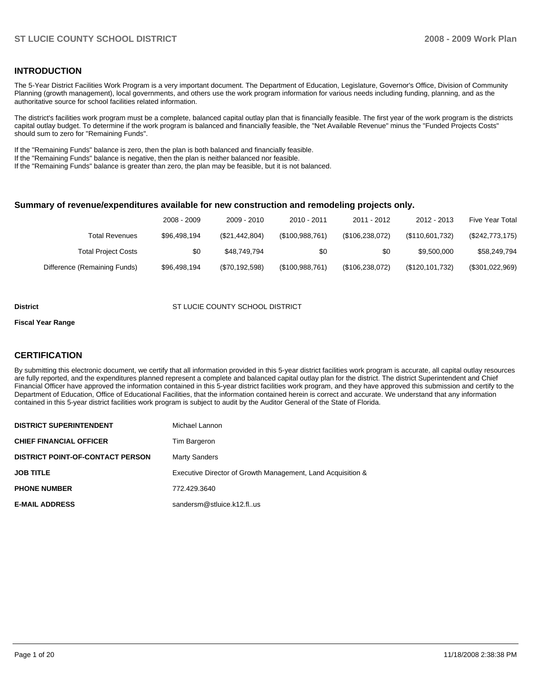### **INTRODUCTION**

The 5-Year District Facilities Work Program is a very important document. The Department of Education, Legislature, Governor's Office, Division of Community Planning (growth management), local governments, and others use the work program information for various needs including funding, planning, and as the authoritative source for school facilities related information.

The district's facilities work program must be a complete, balanced capital outlay plan that is financially feasible. The first year of the work program is the districts capital outlay budget. To determine if the work program is balanced and financially feasible, the "Net Available Revenue" minus the "Funded Projects Costs" should sum to zero for "Remaining Funds".

If the "Remaining Funds" balance is zero, then the plan is both balanced and financially feasible.

If the "Remaining Funds" balance is negative, then the plan is neither balanced nor feasible.

If the "Remaining Funds" balance is greater than zero, the plan may be feasible, but it is not balanced.

#### **Summary of revenue/expenditures available for new construction and remodeling projects only.**

| <b>Five Year Total</b> | 2012 - 2013       | 2011 - 2012     | 2010 - 2011     | 2009 - 2010    | 2008 - 2009  |                              |
|------------------------|-------------------|-----------------|-----------------|----------------|--------------|------------------------------|
| $(\$242,773,175)$      | (\$110,601,732)   | (\$106,238,072) | (\$100,988,761) | (\$21,442,804) | \$96,498,194 | Total Revenues               |
| \$58,249,794           | \$9,500,000       | \$0             | \$0             | \$48.749.794   | \$0          | <b>Total Project Costs</b>   |
| (\$301,022,969)        | (\$120, 101, 732) | (\$106,238,072) | (\$100,988,761) | (\$70,192,598) | \$96,498,194 | Difference (Remaining Funds) |

#### **District COUNTY SCHOOL DISTRICT COUNTY SCHOOL DISTRICT**

#### **Fiscal Year Range**

### **CERTIFICATION**

By submitting this electronic document, we certify that all information provided in this 5-year district facilities work program is accurate, all capital outlay resources are fully reported, and the expenditures planned represent a complete and balanced capital outlay plan for the district. The district Superintendent and Chief Financial Officer have approved the information contained in this 5-year district facilities work program, and they have approved this submission and certify to the Department of Education, Office of Educational Facilities, that the information contained herein is correct and accurate. We understand that any information contained in this 5-year district facilities work program is subject to audit by the Auditor General of the State of Florida.

| <b>DISTRICT SUPERINTENDENT</b>          | Michael Lannon                                              |
|-----------------------------------------|-------------------------------------------------------------|
| <b>CHIEF FINANCIAL OFFICER</b>          | Tim Bargeron                                                |
| <b>DISTRICT POINT-OF-CONTACT PERSON</b> | <b>Marty Sanders</b>                                        |
| <b>JOB TITLE</b>                        | Executive Director of Growth Management, Land Acquisition & |
| <b>PHONE NUMBER</b>                     | 772.429.3640                                                |
| <b>E-MAIL ADDRESS</b>                   | sandersm@stluice.k12.flus                                   |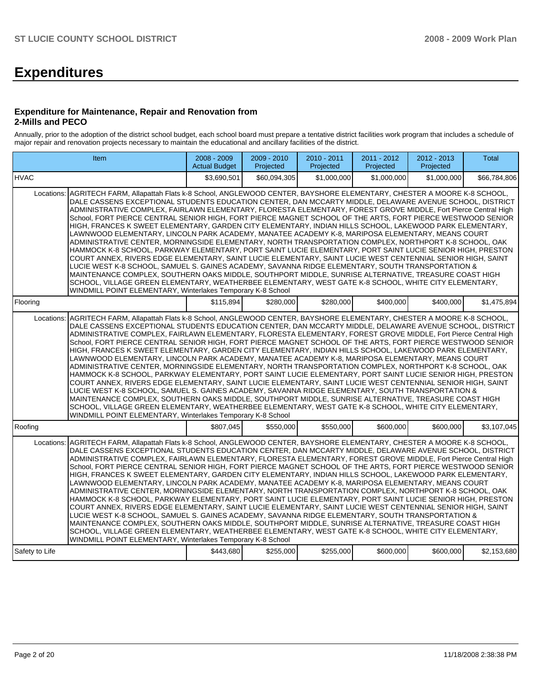# **Expenditures**

#### **Expenditure for Maintenance, Repair and Renovation from 2-Mills and PECO**

Annually, prior to the adoption of the district school budget, each school board must prepare a tentative district facilities work program that includes a schedule of major repair and renovation projects necessary to maintain the educational and ancillary facilities of the district.

|                | Item                                                                                                                                                                                                                                                                                                                                                                                                                                                                                                                                                                                                                                                                                                                                                                                                                                                                                                                                                                                                                                                                                                                                                                                                                                                                                                                                                                                                      | 2008 - 2009<br><b>Actual Budget</b> | 2009 - 2010<br>Projected | $2010 - 2011$<br>Projected | 2011 - 2012<br>Projected | $2012 - 2013$<br>Projected | <b>Total</b> |  |  |  |  |  |
|----------------|-----------------------------------------------------------------------------------------------------------------------------------------------------------------------------------------------------------------------------------------------------------------------------------------------------------------------------------------------------------------------------------------------------------------------------------------------------------------------------------------------------------------------------------------------------------------------------------------------------------------------------------------------------------------------------------------------------------------------------------------------------------------------------------------------------------------------------------------------------------------------------------------------------------------------------------------------------------------------------------------------------------------------------------------------------------------------------------------------------------------------------------------------------------------------------------------------------------------------------------------------------------------------------------------------------------------------------------------------------------------------------------------------------------|-------------------------------------|--------------------------|----------------------------|--------------------------|----------------------------|--------------|--|--|--|--|--|
| <b>HVAC</b>    |                                                                                                                                                                                                                                                                                                                                                                                                                                                                                                                                                                                                                                                                                                                                                                                                                                                                                                                                                                                                                                                                                                                                                                                                                                                                                                                                                                                                           | \$3,690,501                         | \$60,094,305             | \$1,000,000                | \$1,000,000              | \$1,000,000                | \$66,784,806 |  |  |  |  |  |
| Locations:     | AGRITECH FARM, Allapattah Flats k-8 School, ANGLEWOOD CENTER, BAYSHORE ELEMENTARY, CHESTER A MOORE K-8 SCHOOL,<br>DALE CASSENS EXCEPTIONAL STUDENTS EDUCATION CENTER, DAN MCCARTY MIDDLE, DELAWARE AVENUE SCHOOL, DISTRICT<br>ADMINISTRATIVE COMPLEX, FAIRLAWN ELEMENTARY, FLORESTA ELEMENTARY, FOREST GROVE MIDDLE, Fort Pierce Central High<br>School, FORT PIERCE CENTRAL SENIOR HIGH, FORT PIERCE MAGNET SCHOOL OF THE ARTS, FORT PIERCE WESTWOOD SENIOR<br>HIGH, FRANCES K SWEET ELEMENTARY, GARDEN CITY ELEMENTARY, INDIAN HILLS SCHOOL, LAKEWOOD PARK ELEMENTARY,<br>LAWNWOOD ELEMENTARY, LINCOLN PARK ACADEMY, MANATEE ACADEMY K-8, MARIPOSA ELEMENTARY, MEANS COURT<br>ADMINISTRATIVE CENTER, MORNINGSIDE ELEMENTARY, NORTH TRANSPORTATION COMPLEX, NORTHPORT K-8 SCHOOL, OAK<br>HAMMOCK K-8 SCHOOL, PARKWAY ELEMENTARY, PORT SAINT LUCIE ELEMENTARY, PORT SAINT LUCIE SENIOR HIGH, PRESTON<br>COURT ANNEX, RIVERS EDGE ELEMENTARY, SAINT LUCIE ELEMENTARY, SAINT LUCIE WEST CENTENNIAL SENIOR HIGH, SAINT<br>LUCIE WEST K-8 SCHOOL, SAMUEL S. GAINES ACADEMY, SAVANNA RIDGE ELEMENTARY, SOUTH TRANSPORTATION &<br>MAINTENANCE COMPLEX, SOUTHERN OAKS MIDDLE, SOUTHPORT MIDDLE, SUNRISE ALTERNATIVE, TREASURE COAST HIGH<br>SCHOOL, VILLAGE GREEN ELEMENTARY, WEATHERBEE ELEMENTARY, WEST GATE K-8 SCHOOL, WHITE CITY ELEMENTARY,<br>WINDMILL POINT ELEMENTARY, Winterlakes Temporary K-8 School |                                     |                          |                            |                          |                            |              |  |  |  |  |  |
| Flooring       |                                                                                                                                                                                                                                                                                                                                                                                                                                                                                                                                                                                                                                                                                                                                                                                                                                                                                                                                                                                                                                                                                                                                                                                                                                                                                                                                                                                                           | \$115.894                           | \$280,000                | \$280,000                  | \$400,000                | \$400,000                  | \$1,475,894  |  |  |  |  |  |
| Locations:     | AGRITECH FARM, Allapattah Flats k-8 School, ANGLEWOOD CENTER, BAYSHORE ELEMENTARY, CHESTER A MOORE K-8 SCHOOL,<br>DALE CASSENS EXCEPTIONAL STUDENTS EDUCATION CENTER, DAN MCCARTY MIDDLE, DELAWARE AVENUE SCHOOL, DISTRICT<br>ADMINISTRATIVE COMPLEX, FAIRLAWN ELEMENTARY, FLORESTA ELEMENTARY, FOREST GROVE MIDDLE, Fort Pierce Central High<br>School, FORT PIERCE CENTRAL SENIOR HIGH, FORT PIERCE MAGNET SCHOOL OF THE ARTS, FORT PIERCE WESTWOOD SENIOR<br>HIGH, FRANCES K SWEET ELEMENTARY, GARDEN CITY ELEMENTARY, INDIAN HILLS SCHOOL, LAKEWOOD PARK ELEMENTARY,<br>LAWNWOOD ELEMENTARY, LINCOLN PARK ACADEMY, MANATEE ACADEMY K-8, MARIPOSA ELEMENTARY, MEANS COURT<br>ADMINISTRATIVE CENTER, MORNINGSIDE ELEMENTARY, NORTH TRANSPORTATION COMPLEX, NORTHPORT K-8 SCHOOL, OAK<br>HAMMOCK K-8 SCHOOL, PARKWAY ELEMENTARY, PORT SAINT LUCIE ELEMENTARY, PORT SAINT LUCIE SENIOR HIGH, PRESTON<br>COURT ANNEX, RIVERS EDGE ELEMENTARY, SAINT LUCIE ELEMENTARY, SAINT LUCIE WEST CENTENNIAL SENIOR HIGH, SAINT<br>LUCIE WEST K-8 SCHOOL, SAMUEL S. GAINES ACADEMY, SAVANNA RIDGE ELEMENTARY, SOUTH TRANSPORTATION &<br>MAINTENANCE COMPLEX, SOUTHERN OAKS MIDDLE, SOUTHPORT MIDDLE, SUNRISE ALTERNATIVE, TREASURE COAST HIGH<br>SCHOOL, VILLAGE GREEN ELEMENTARY, WEATHERBEE ELEMENTARY, WEST GATE K-8 SCHOOL, WHITE CITY ELEMENTARY,<br>WINDMILL POINT ELEMENTARY, Winterlakes Temporary K-8 School |                                     |                          |                            |                          |                            |              |  |  |  |  |  |
| Roofing        |                                                                                                                                                                                                                                                                                                                                                                                                                                                                                                                                                                                                                                                                                                                                                                                                                                                                                                                                                                                                                                                                                                                                                                                                                                                                                                                                                                                                           | \$807,045                           | \$550,000                | \$550,000                  | \$600,000                | \$600,000                  | \$3,107,045  |  |  |  |  |  |
| Locations:     | AGRITECH FARM, Allapattah Flats k-8 School, ANGLEWOOD CENTER, BAYSHORE ELEMENTARY, CHESTER A MOORE K-8 SCHOOL,<br>DALE CASSENS EXCEPTIONAL STUDENTS EDUCATION CENTER, DAN MCCARTY MIDDLE, DELAWARE AVENUE SCHOOL, DISTRICT<br>ADMINISTRATIVE COMPLEX, FAIRLAWN ELEMENTARY, FLORESTA ELEMENTARY, FOREST GROVE MIDDLE, Fort Pierce Central High<br>School, FORT PIERCE CENTRAL SENIOR HIGH, FORT PIERCE MAGNET SCHOOL OF THE ARTS, FORT PIERCE WESTWOOD SENIOR<br>HIGH, FRANCES K SWEET ELEMENTARY, GARDEN CITY ELEMENTARY, INDIAN HILLS SCHOOL, LAKEWOOD PARK ELEMENTARY,<br>LAWNWOOD ELEMENTARY, LINCOLN PARK ACADEMY, MANATEE ACADEMY K-8, MARIPOSA ELEMENTARY, MEANS COURT<br>ADMINISTRATIVE CENTER, MORNINGSIDE ELEMENTARY, NORTH TRANSPORTATION COMPLEX, NORTHPORT K-8 SCHOOL, OAK<br>HAMMOCK K-8 SCHOOL, PARKWAY ELEMENTARY, PORT SAINT LUCIE ELEMENTARY, PORT SAINT LUCIE SENIOR HIGH, PRESTON<br>COURT ANNEX, RIVERS EDGE ELEMENTARY, SAINT LUCIE ELEMENTARY, SAINT LUCIE WEST CENTENNIAL SENIOR HIGH, SAINT<br>LUCIE WEST K-8 SCHOOL, SAMUEL S. GAINES ACADEMY, SAVANNA RIDGE ELEMENTARY, SOUTH TRANSPORTATION &<br>MAINTENANCE COMPLEX, SOUTHERN OAKS MIDDLE, SOUTHPORT MIDDLE, SUNRISE ALTERNATIVE, TREASURE COAST HIGH<br>SCHOOL, VILLAGE GREEN ELEMENTARY, WEATHERBEE ELEMENTARY, WEST GATE K-8 SCHOOL, WHITE CITY ELEMENTARY,<br>WINDMILL POINT ELEMENTARY, Winterlakes Temporary K-8 School |                                     |                          |                            |                          |                            |              |  |  |  |  |  |
| Safety to Life |                                                                                                                                                                                                                                                                                                                                                                                                                                                                                                                                                                                                                                                                                                                                                                                                                                                                                                                                                                                                                                                                                                                                                                                                                                                                                                                                                                                                           | \$443,680                           | \$255,000                | \$255,000                  | \$600,000                | \$600,000                  | \$2,153,680  |  |  |  |  |  |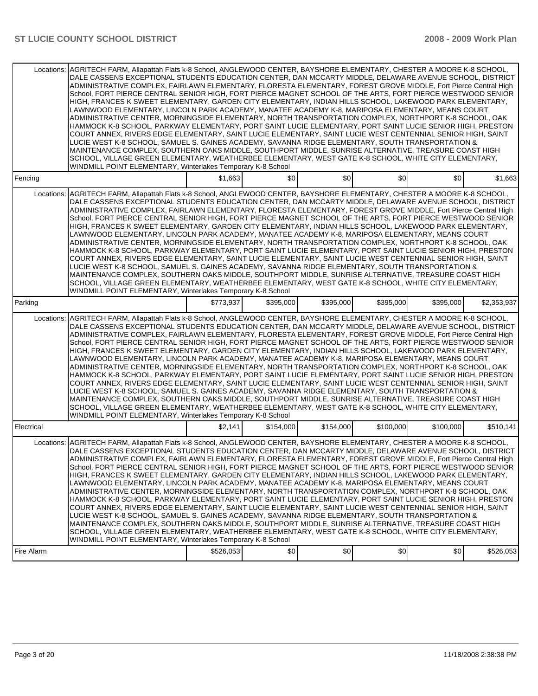| Fencing<br>Locations:    | AGRITECH FARM, Allapattah Flats k-8 School, ANGLEWOOD CENTER, BAYSHORE ELEMENTARY, CHESTER A MOORE K-8 SCHOOL,<br>DALE CASSENS EXCEPTIONAL STUDENTS EDUCATION CENTER, DAN MCCARTY MIDDLE, DELAWARE AVENUE SCHOOL, DISTRICT<br>ADMINISTRATIVE COMPLEX, FAIRLAWN ELEMENTARY, FLORESTA ELEMENTARY, FOREST GROVE MIDDLE, Fort Pierce Central High<br>School, FORT PIERCE CENTRAL SENIOR HIGH, FORT PIERCE MAGNET SCHOOL OF THE ARTS, FORT PIERCE WESTWOOD SENIOR<br>HIGH, FRANCES K SWEET ELEMENTARY, GARDEN CITY ELEMENTARY, INDIAN HILLS SCHOOL, LAKEWOOD PARK ELEMENTARY,<br>LAWNWOOD ELEMENTARY. LINCOLN PARK ACADEMY. MANATEE ACADEMY K-8. MARIPOSA ELEMENTARY. MEANS COURT<br>ADMINISTRATIVE CENTER, MORNINGSIDE ELEMENTARY, NORTH TRANSPORTATION COMPLEX, NORTHPORT K-8 SCHOOL, OAK<br>HAMMOCK K-8 SCHOOL, PARKWAY ELEMENTARY, PORT SAINT LUCIE ELEMENTARY, PORT SAINT LUCIE SENIOR HIGH, PRESTON<br>COURT ANNEX, RIVERS EDGE ELEMENTARY, SAINT LUCIE ELEMENTARY, SAINT LUCIE WEST CENTENNIAL SENIOR HIGH, SAINT<br>LUCIE WEST K-8 SCHOOL, SAMUEL S. GAINES ACADEMY, SAVANNA RIDGE ELEMENTARY, SOUTH TRANSPORTATION &<br>MAINTENANCE COMPLEX, SOUTHERN OAKS MIDDLE, SOUTHPORT MIDDLE, SUNRISE ALTERNATIVE, TREASURE COAST HIGH<br>SCHOOL, VILLAGE GREEN ELEMENTARY, WEATHERBEE ELEMENTARY, WEST GATE K-8 SCHOOL, WHITE CITY ELEMENTARY,                                                                | \$1,663   | \$0       | \$0       | \$0       | \$0       | \$1.663     |
|--------------------------|-----------------------------------------------------------------------------------------------------------------------------------------------------------------------------------------------------------------------------------------------------------------------------------------------------------------------------------------------------------------------------------------------------------------------------------------------------------------------------------------------------------------------------------------------------------------------------------------------------------------------------------------------------------------------------------------------------------------------------------------------------------------------------------------------------------------------------------------------------------------------------------------------------------------------------------------------------------------------------------------------------------------------------------------------------------------------------------------------------------------------------------------------------------------------------------------------------------------------------------------------------------------------------------------------------------------------------------------------------------------------------------------------------------|-----------|-----------|-----------|-----------|-----------|-------------|
|                          |                                                                                                                                                                                                                                                                                                                                                                                                                                                                                                                                                                                                                                                                                                                                                                                                                                                                                                                                                                                                                                                                                                                                                                                                                                                                                                                                                                                                           |           |           |           |           |           |             |
|                          | WINDMILL POINT ELEMENTARY, Winterlakes Temporary K-8 School                                                                                                                                                                                                                                                                                                                                                                                                                                                                                                                                                                                                                                                                                                                                                                                                                                                                                                                                                                                                                                                                                                                                                                                                                                                                                                                                               |           |           |           |           |           |             |
| Parking                  |                                                                                                                                                                                                                                                                                                                                                                                                                                                                                                                                                                                                                                                                                                                                                                                                                                                                                                                                                                                                                                                                                                                                                                                                                                                                                                                                                                                                           | \$773,937 | \$395,000 | \$395,000 | \$395,000 | \$395,000 | \$2,353,937 |
| Locations:               | AGRITECH FARM, Allapattah Flats k-8 School, ANGLEWOOD CENTER, BAYSHORE ELEMENTARY, CHESTER A MOORE K-8 SCHOOL,<br>DALE CASSENS EXCEPTIONAL STUDENTS EDUCATION CENTER, DAN MCCARTY MIDDLE, DELAWARE AVENUE SCHOOL, DISTRICT<br>ADMINISTRATIVE COMPLEX, FAIRLAWN ELEMENTARY, FLORESTA ELEMENTARY, FOREST GROVE MIDDLE, Fort Pierce Central High<br>School, FORT PIERCE CENTRAL SENIOR HIGH, FORT PIERCE MAGNET SCHOOL OF THE ARTS, FORT PIERCE WESTWOOD SENIOR<br>HIGH, FRANCES K SWEET ELEMENTARY, GARDEN CITY ELEMENTARY, INDIAN HILLS SCHOOL, LAKEWOOD PARK ELEMENTARY,<br>LAWNWOOD ELEMENTARY, LINCOLN PARK ACADEMY, MANATEE ACADEMY K-8, MARIPOSA ELEMENTARY, MEANS COURT<br>ADMINISTRATIVE CENTER, MORNINGSIDE ELEMENTARY, NORTH TRANSPORTATION COMPLEX, NORTHPORT K-8 SCHOOL, OAK<br>HAMMOCK K-8 SCHOOL, PARKWAY ELEMENTARY, PORT SAINT LUCIE ELEMENTARY, PORT SAINT LUCIE SENIOR HIGH, PRESTON<br>COURT ANNEX, RIVERS EDGE ELEMENTARY, SAINT LUCIE ELEMENTARY, SAINT LUCIE WEST CENTENNIAL SENIOR HIGH, SAINT<br>LUCIE WEST K-8 SCHOOL, SAMUEL S. GAINES ACADEMY, SAVANNA RIDGE ELEMENTARY, SOUTH TRANSPORTATION &<br>MAINTENANCE COMPLEX, SOUTHERN OAKS MIDDLE, SOUTHPORT MIDDLE, SUNRISE ALTERNATIVE, TREASURE COAST HIGH<br>SCHOOL, VILLAGE GREEN ELEMENTARY, WEATHERBEE ELEMENTARY, WEST GATE K-8 SCHOOL, WHITE CITY ELEMENTARY,<br>WINDMILL POINT ELEMENTARY, Winterlakes Temporary K-8 School |           |           |           |           |           |             |
| Electrical               |                                                                                                                                                                                                                                                                                                                                                                                                                                                                                                                                                                                                                                                                                                                                                                                                                                                                                                                                                                                                                                                                                                                                                                                                                                                                                                                                                                                                           | \$2,141   | \$154,000 | \$154,000 | \$100,000 | \$100,000 | \$510,141   |
| Locations:<br>Fire Alarm | AGRITECH FARM, Allapattah Flats k-8 School, ANGLEWOOD CENTER, BAYSHORE ELEMENTARY, CHESTER A MOORE K-8 SCHOOL,<br>DALE CASSENS EXCEPTIONAL STUDENTS EDUCATION CENTER, DAN MCCARTY MIDDLE, DELAWARE AVENUE SCHOOL, DISTRICT<br>ADMINISTRATIVE COMPLEX, FAIRLAWN ELEMENTARY, FLORESTA ELEMENTARY, FOREST GROVE MIDDLE, Fort Pierce Central High<br>School, FORT PIERCE CENTRAL SENIOR HIGH, FORT PIERCE MAGNET SCHOOL OF THE ARTS, FORT PIERCE WESTWOOD SENIOR<br>HIGH, FRANCES K SWEET ELEMENTARY, GARDEN CITY ELEMENTARY, INDIAN HILLS SCHOOL, LAKEWOOD PARK ELEMENTARY,<br>LAWNWOOD ELEMENTARY, LINCOLN PARK ACADEMY, MANATEE ACADEMY K-8, MARIPOSA ELEMENTARY, MEANS COURT<br>ADMINISTRATIVE CENTER, MORNINGSIDE ELEMENTARY, NORTH TRANSPORTATION COMPLEX, NORTHPORT K-8 SCHOOL, OAK<br>HAMMOCK K-8 SCHOOL, PARKWAY ELEMENTARY, PORT SAINT LUCIE ELEMENTARY, PORT SAINT LUCIE SENIOR HIGH, PRESTON<br>COURT ANNEX, RIVERS EDGE ELEMENTARY, SAINT LUCIE ELEMENTARY, SAINT LUCIE WEST CENTENNIAL SENIOR HIGH, SAINT<br>LUCIE WEST K-8 SCHOOL, SAMUEL S. GAINES ACADEMY, SAVANNA RIDGE ELEMENTARY, SOUTH TRANSPORTATION &<br>MAINTENANCE COMPLEX, SOUTHERN OAKS MIDDLE, SOUTHPORT MIDDLE, SUNRISE ALTERNATIVE, TREASURE COAST HIGH<br>SCHOOL, VILLAGE GREEN ELEMENTARY, WEATHERBEE ELEMENTARY, WEST GATE K-8 SCHOOL, WHITE CITY ELEMENTARY,<br>WINDMILL POINT ELEMENTARY, Winterlakes Temporary K-8 School | \$526,053 | \$0       | \$0       | \$0       | \$0       | \$526,053   |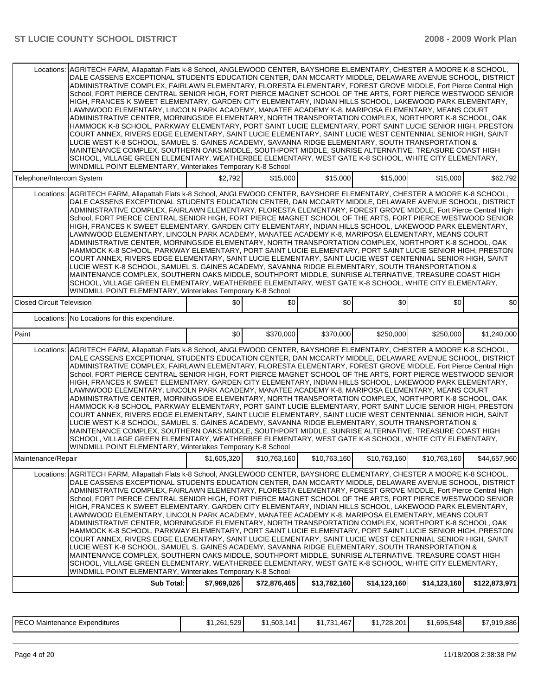|                                  | Locations: AGRITECH FARM, Allapattah Flats k-8 School, ANGLEWOOD CENTER, BAYSHORE ELEMENTARY, CHESTER A MOORE K-8 SCHOOL,<br>DALE CASSENS EXCEPTIONAL STUDENTS EDUCATION CENTER, DAN MCCARTY MIDDLE, DELAWARE AVENUE SCHOOL, DISTRICT<br>ADMINISTRATIVE COMPLEX, FAIRLAWN ELEMENTARY, FLORESTA ELEMENTARY, FOREST GROVE MIDDLE, Fort Pierce Central High<br>School, FORT PIERCE CENTRAL SENIOR HIGH, FORT PIERCE MAGNET SCHOOL OF THE ARTS, FORT PIERCE WESTWOOD SENIOR<br>HIGH, FRANCES K SWEET ELEMENTARY, GARDEN CITY ELEMENTARY, INDIAN HILLS SCHOOL, LAKEWOOD PARK ELEMENTARY,<br>LAWNWOOD ELEMENTARY, LINCOLN PARK ACADEMY, MANATEE ACADEMY K-8, MARIPOSA ELEMENTARY, MEANS COURT<br>ADMINISTRATIVE CENTER, MORNINGSIDE ELEMENTARY, NORTH TRANSPORTATION COMPLEX, NORTHPORT K-8 SCHOOL, OAK<br>HAMMOCK K-8 SCHOOL, PARKWAY ELEMENTARY, PORT SAINT LUCIE ELEMENTARY, PORT SAINT LUCIE SENIOR HIGH, PRESTON<br>COURT ANNEX, RIVERS EDGE ELEMENTARY, SAINT LUCIE ELEMENTARY, SAINT LUCIE WEST CENTENNIAL SENIOR HIGH, SAINT<br>LUCIE WEST K-8 SCHOOL, SAMUEL S. GAINES ACADEMY, SAVANNA RIDGE ELEMENTARY, SOUTH TRANSPORTATION &<br>MAINTENANCE COMPLEX, SOUTHERN OAKS MIDDLE, SOUTHPORT MIDDLE, SUNRISE ALTERNATIVE, TREASURE COAST HIGH<br>SCHOOL, VILLAGE GREEN ELEMENTARY, WEATHERBEE ELEMENTARY, WEST GATE K-8 SCHOOL, WHITE CITY ELEMENTARY,<br>WINDMILL POINT ELEMENTARY, Winterlakes Temporary K-8 School |             |              |              |              |              |               |
|----------------------------------|----------------------------------------------------------------------------------------------------------------------------------------------------------------------------------------------------------------------------------------------------------------------------------------------------------------------------------------------------------------------------------------------------------------------------------------------------------------------------------------------------------------------------------------------------------------------------------------------------------------------------------------------------------------------------------------------------------------------------------------------------------------------------------------------------------------------------------------------------------------------------------------------------------------------------------------------------------------------------------------------------------------------------------------------------------------------------------------------------------------------------------------------------------------------------------------------------------------------------------------------------------------------------------------------------------------------------------------------------------------------------------------------------------------------|-------------|--------------|--------------|--------------|--------------|---------------|
| Telephone/Intercom System        |                                                                                                                                                                                                                                                                                                                                                                                                                                                                                                                                                                                                                                                                                                                                                                                                                                                                                                                                                                                                                                                                                                                                                                                                                                                                                                                                                                                                                      | \$2,792     | \$15,000     | \$15,000     | \$15,000     | \$15,000     | \$62,792      |
|                                  | Locations: AGRITECH FARM, Allapattah Flats k-8 School, ANGLEWOOD CENTER, BAYSHORE ELEMENTARY, CHESTER A MOORE K-8 SCHOOL,<br>DALE CASSENS EXCEPTIONAL STUDENTS EDUCATION CENTER, DAN MCCARTY MIDDLE, DELAWARE AVENUE SCHOOL, DISTRICT<br>ADMINISTRATIVE COMPLEX, FAIRLAWN ELEMENTARY, FLORESTA ELEMENTARY, FOREST GROVE MIDDLE, Fort Pierce Central High<br>School, FORT PIERCE CENTRAL SENIOR HIGH, FORT PIERCE MAGNET SCHOOL OF THE ARTS, FORT PIERCE WESTWOOD SENIOR<br>HIGH, FRANCES K SWEET ELEMENTARY, GARDEN CITY ELEMENTARY, INDIAN HILLS SCHOOL, LAKEWOOD PARK ELEMENTARY,<br>LAWNWOOD ELEMENTARY, LINCOLN PARK ACADEMY, MANATEE ACADEMY K-8, MARIPOSA ELEMENTARY, MEANS COURT<br>ADMINISTRATIVE CENTER, MORNINGSIDE ELEMENTARY, NORTH TRANSPORTATION COMPLEX, NORTHPORT K-8 SCHOOL, OAK<br>HAMMOCK K-8 SCHOOL, PARKWAY ELEMENTARY, PORT SAINT LUCIE ELEMENTARY, PORT SAINT LUCIE SENIOR HIGH, PRESTON<br>COURT ANNEX, RIVERS EDGE ELEMENTARY, SAINT LUCIE ELEMENTARY, SAINT LUCIE WEST CENTENNIAL SENIOR HIGH, SAINT<br>LUCIE WEST K-8 SCHOOL, SAMUEL S. GAINES ACADEMY, SAVANNA RIDGE ELEMENTARY, SOUTH TRANSPORTATION &<br>MAINTENANCE COMPLEX, SOUTHERN OAKS MIDDLE, SOUTHPORT MIDDLE, SUNRISE ALTERNATIVE, TREASURE COAST HIGH<br>SCHOOL, VILLAGE GREEN ELEMENTARY, WEATHERBEE ELEMENTARY, WEST GATE K-8 SCHOOL, WHITE CITY ELEMENTARY,<br>WINDMILL POINT ELEMENTARY, Winterlakes Temporary K-8 School |             |              |              |              |              |               |
| <b>Closed Circuit Television</b> |                                                                                                                                                                                                                                                                                                                                                                                                                                                                                                                                                                                                                                                                                                                                                                                                                                                                                                                                                                                                                                                                                                                                                                                                                                                                                                                                                                                                                      | \$0         | \$0          | \$0          | \$0          | \$0          | \$0           |
|                                  | Locations: No Locations for this expenditure.                                                                                                                                                                                                                                                                                                                                                                                                                                                                                                                                                                                                                                                                                                                                                                                                                                                                                                                                                                                                                                                                                                                                                                                                                                                                                                                                                                        |             |              |              |              |              |               |
| Paint                            |                                                                                                                                                                                                                                                                                                                                                                                                                                                                                                                                                                                                                                                                                                                                                                                                                                                                                                                                                                                                                                                                                                                                                                                                                                                                                                                                                                                                                      | \$0         | \$370,000    | \$370,000    | \$250,000    | \$250,000    | \$1,240,000   |
| Locations:                       | AGRITECH FARM, Allapattah Flats k-8 School, ANGLEWOOD CENTER, BAYSHORE ELEMENTARY, CHESTER A MOORE K-8 SCHOOL,<br>DALE CASSENS EXCEPTIONAL STUDENTS EDUCATION CENTER, DAN MCCARTY MIDDLE, DELAWARE AVENUE SCHOOL, DISTRICT<br>ADMINISTRATIVE COMPLEX, FAIRLAWN ELEMENTARY, FLORESTA ELEMENTARY, FOREST GROVE MIDDLE, Fort Pierce Central High<br>School, FORT PIERCE CENTRAL SENIOR HIGH, FORT PIERCE MAGNET SCHOOL OF THE ARTS, FORT PIERCE WESTWOOD SENIOR<br>HIGH, FRANCES K SWEET ELEMENTARY, GARDEN CITY ELEMENTARY, INDIAN HILLS SCHOOL, LAKEWOOD PARK ELEMENTARY,<br>LAWNWOOD ELEMENTARY, LINCOLN PARK ACADEMY, MANATEE ACADEMY K-8, MARIPOSA ELEMENTARY, MEANS COURT<br>ADMINISTRATIVE CENTER, MORNINGSIDE ELEMENTARY, NORTH TRANSPORTATION COMPLEX, NORTHPORT K-8 SCHOOL, OAK<br>HAMMOCK K-8 SCHOOL, PARKWAY ELEMENTARY, PORT SAINT LUCIE ELEMENTARY, PORT SAINT LUCIE SENIOR HIGH, PRESTON<br>COURT ANNEX, RIVERS EDGE ELEMENTARY, SAINT LUCIE ELEMENTARY, SAINT LUCIE WEST CENTENNIAL SENIOR HIGH, SAINT<br>LUCIE WEST K-8 SCHOOL, SAMUEL S. GAINES ACADEMY, SAVANNA RIDGE ELEMENTARY, SOUTH TRANSPORTATION &<br>MAINTENANCE COMPLEX, SOUTHERN OAKS MIDDLE, SOUTHPORT MIDDLE, SUNRISE ALTERNATIVE, TREASURE COAST HIGH<br>SCHOOL, VILLAGE GREEN ELEMENTARY, WEATHERBEE ELEMENTARY, WEST GATE K-8 SCHOOL, WHITE CITY ELEMENTARY,<br>WINDMILL POINT ELEMENTARY, Winterlakes Temporary K-8 School            |             |              |              |              |              |               |
| Maintenance/Repair               |                                                                                                                                                                                                                                                                                                                                                                                                                                                                                                                                                                                                                                                                                                                                                                                                                                                                                                                                                                                                                                                                                                                                                                                                                                                                                                                                                                                                                      | \$1,605,320 | \$10,763,160 | \$10,763,160 | \$10,763,160 | \$10,763,160 | \$44,657,960  |
| Locations:                       | AGRITECH FARM, Allapattah Flats k-8 School, ANGLEWOOD CENTER, BAYSHORE ELEMENTARY, CHESTER A MOORE K-8 SCHOOL,<br>DALE CASSENS EXCEPTIONAL STUDENTS EDUCATION CENTER, DAN MCCARTY MIDDLE, DELAWARE AVENUE SCHOOL, DISTRICT<br>ADMINISTRATIVE COMPLEX, FAIRLAWN ELEMENTARY, FLORESTA ELEMENTARY, FOREST GROVE MIDDLE, Fort Pierce Central High<br>School, FORT PIERCE CENTRAL SENIOR HIGH, FORT PIERCE MAGNET SCHOOL OF THE ARTS, FORT PIERCE WESTWOOD SENIOR<br>HIGH, FRANCES K SWEET ELEMENTARY, GARDEN CITY ELEMENTARY, INDIAN HILLS SCHOOL, LAKEWOOD PARK ELEMENTARY.<br>LAWNWOOD ELEMENTARY, LINCOLN PARK ACADEMY, MANATEE ACADEMY K-8, MARIPOSA ELEMENTARY, MEANS COURT<br>ADMINISTRATIVE CENTER, MORNINGSIDE ELEMENTARY, NORTH TRANSPORTATION COMPLEX, NORTHPORT K-8 SCHOOL, OAK<br>HAMMOCK K-8 SCHOOL, PARKWAY ELEMENTARY, PORT SAINT LUCIE ELEMENTARY, PORT SAINT LUCIE SENIOR HIGH, PRESTON<br>COURT ANNEX, RIVERS EDGE ELEMENTARY, SAINT LUCIE ELEMENTARY, SAINT LUCIE WEST CENTENNIAL SENIOR HIGH, SAINT<br>LUCIE WEST K-8 SCHOOL, SAMUEL S. GAINES ACADEMY, SAVANNA RIDGE ELEMENTARY, SOUTH TRANSPORTATION &<br>MAINTENANCE COMPLEX, SOUTHERN OAKS MIDDLE, SOUTHPORT MIDDLE, SUNRISE ALTERNATIVE, TREASURE COAST HIGH<br>SCHOOL, VILLAGE GREEN ELEMENTARY, WEATHERBEE ELEMENTARY, WEST GATE K-8 SCHOOL, WHITE CITY ELEMENTARY,<br>WINDMILL POINT ELEMENTARY, Winterlakes Temporary K-8 School            |             |              |              |              |              |               |
|                                  | Sub Total:                                                                                                                                                                                                                                                                                                                                                                                                                                                                                                                                                                                                                                                                                                                                                                                                                                                                                                                                                                                                                                                                                                                                                                                                                                                                                                                                                                                                           | \$7,969,026 | \$72,876,465 | \$13,782,160 | \$14,123,160 | \$14,123,160 | \$122,873,971 |
|                                  |                                                                                                                                                                                                                                                                                                                                                                                                                                                                                                                                                                                                                                                                                                                                                                                                                                                                                                                                                                                                                                                                                                                                                                                                                                                                                                                                                                                                                      |             |              |              |              |              |               |

| <b>IPECO</b><br>) Maintenance Expenditures | \$1,261,529 | \$1,503,141 | $$1,731,467$ <sup>1</sup> | \$1,728,201 | \$1,695,548 | \$7,919,886 |
|--------------------------------------------|-------------|-------------|---------------------------|-------------|-------------|-------------|
|--------------------------------------------|-------------|-------------|---------------------------|-------------|-------------|-------------|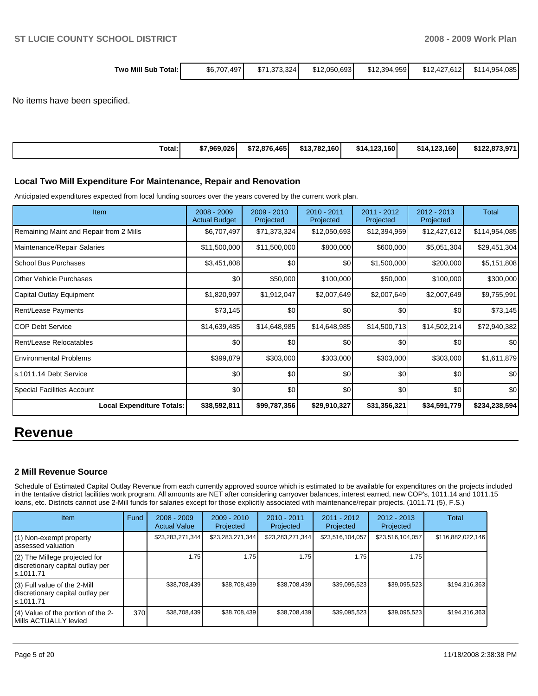| , Mill<br>Total:۱<br>Sub<br>wo | \$6,707,497 | 1.373.324<br>\$71 | \$12,050,693 | \$12,394,959 | \$12,427,612 | $+085$<br>\$11<br>14,954, |
|--------------------------------|-------------|-------------------|--------------|--------------|--------------|---------------------------|
|                                |             |                   |              |              |              |                           |

No items have been specified.

| Total:<br>. | \$7.969.026 l | \$72,876,465 | .160 l<br>\$13.782. | \$14.123.160 | \$14,123,160 | \$122,873,971 |
|-------------|---------------|--------------|---------------------|--------------|--------------|---------------|

#### **Local Two Mill Expenditure For Maintenance, Repair and Renovation**

Anticipated expenditures expected from local funding sources over the years covered by the current work plan.

| Item                                    | 2008 - 2009<br><b>Actual Budget</b> | 2009 - 2010<br>Projected | $2010 - 2011$<br>Projected | 2011 - 2012<br>Projected | 2012 - 2013<br>Projected | <b>Total</b>  |
|-----------------------------------------|-------------------------------------|--------------------------|----------------------------|--------------------------|--------------------------|---------------|
| Remaining Maint and Repair from 2 Mills | \$6,707,497                         | \$71,373,324             | \$12,050,693               | \$12,394,959             | \$12,427,612             | \$114,954,085 |
| Maintenance/Repair Salaries             | \$11,500,000                        | \$11,500,000             | \$800,000                  | \$600,000                | \$5,051,304              | \$29,451,304  |
| School Bus Purchases                    | \$3,451,808                         | \$0                      | \$0                        | \$1,500,000              | \$200,000                | \$5,151,808   |
| Other Vehicle Purchases                 | \$0                                 | \$50,000                 | \$100,000                  | \$50,000                 | \$100,000                | \$300,000     |
| Capital Outlay Equipment                | \$1,820,997                         | \$1,912,047              | \$2,007,649                | \$2,007,649              | \$2,007,649              | \$9,755,991   |
| Rent/Lease Payments                     | \$73,145                            | \$0                      | \$0                        | \$0                      | \$0                      | \$73,145      |
| <b>COP Debt Service</b>                 | \$14,639,485                        | \$14,648,985             | \$14,648,985               | \$14,500,713             | \$14,502,214             | \$72,940,382  |
| Rent/Lease Relocatables                 | \$0                                 | \$0                      | \$0                        | \$0                      | \$0                      | \$0           |
| <b>Environmental Problems</b>           | \$399,879                           | \$303,000                | \$303,000                  | \$303,000                | \$303,000                | \$1,611,879   |
| s.1011.14 Debt Service                  | \$0                                 | \$0                      | \$0                        | \$0                      | \$0                      | \$0           |
| Special Facilities Account              | \$0                                 | \$0                      | \$0                        | \$0                      | \$0                      | \$0           |
| <b>Local Expenditure Totals:</b>        | \$38,592,811                        | \$99,787,356             | \$29,910,327               | \$31,356,321             | \$34,591,779             | \$234,238,594 |

## **Revenue**

### **2 Mill Revenue Source**

Schedule of Estimated Capital Outlay Revenue from each currently approved source which is estimated to be available for expenditures on the projects included in the tentative district facilities work program. All amounts are NET after considering carryover balances, interest earned, new COP's, 1011.14 and 1011.15 loans, etc. Districts cannot use 2-Mill funds for salaries except for those explicitly associated with maintenance/repair projects. (1011.71 (5), F.S.)

| <b>Item</b>                                                                     | Fund | $2008 - 2009$<br><b>Actual Value</b> | $2009 - 2010$<br>Projected | $2010 - 2011$<br>Projected | $2011 - 2012$<br>Projected | $2012 - 2013$<br>Projected | <b>Total</b>      |
|---------------------------------------------------------------------------------|------|--------------------------------------|----------------------------|----------------------------|----------------------------|----------------------------|-------------------|
| (1) Non-exempt property<br>lassessed valuation                                  |      | \$23,283,271,344                     | \$23,283,271,344           | \$23,283,271,344           | \$23,516,104,057           | \$23,516,104,057           | \$116,882,022,146 |
| (2) The Millege projected for<br>discretionary capital outlay per<br>ls.1011.71 |      | 1.75                                 | 1.75                       | 1.75                       | 1.75                       | 1.75                       |                   |
| (3) Full value of the 2-Mill<br>discretionary capital outlay per<br>ls.1011.71  |      | \$38,708,439                         | \$38,708,439               | \$38,708,439               | \$39,095,523               | \$39,095,523               | \$194.316.363     |
| (4) Value of the portion of the 2-<br>Mills ACTUALLY levied                     | 370I | \$38,708,439                         | \$38,708,439               | \$38,708,439               | \$39,095,523               | \$39,095,523               | \$194,316,363     |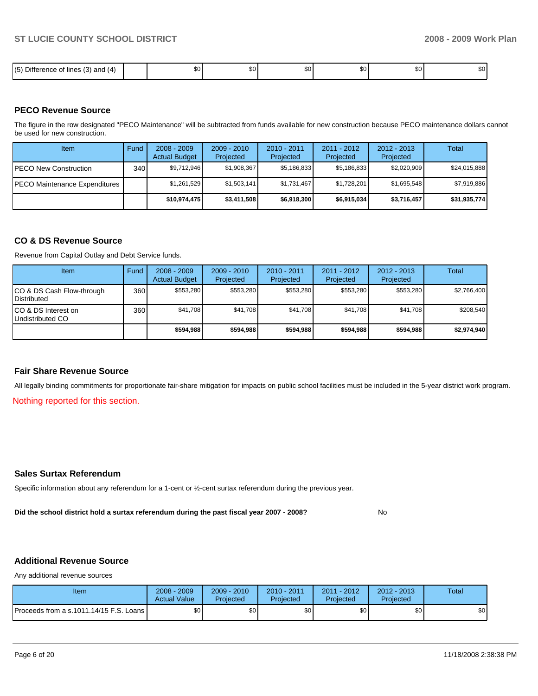| $- \cdot -$<br>$\sqrt{5}$<br>and $(4)$<br>$\sqrt{2}$<br>lines<br>C<br>⊡⊓ا∪<br>. טי<br>ю.<br>.<br>ີ<br>∣∖◡ | r o<br>æU. | \$0 l | ሶስ<br>w | $\sim$<br>ΨΨ | $\ddot{\phantom{m}}$<br>w | <b>The five</b><br>JJU. |
|-----------------------------------------------------------------------------------------------------------|------------|-------|---------|--------------|---------------------------|-------------------------|

### **PECO Revenue Source**

The figure in the row designated "PECO Maintenance" will be subtracted from funds available for new construction because PECO maintenance dollars cannot be used for new construction.

| <b>Item</b>                           | Fund         | $2008 - 2009$<br><b>Actual Budget</b> | $2009 - 2010$<br>Projected | 2010 - 2011<br>Projected | $2011 - 2012$<br>Projected | $2012 - 2013$<br>Projected | Total        |
|---------------------------------------|--------------|---------------------------------------|----------------------------|--------------------------|----------------------------|----------------------------|--------------|
| IPECO New Construction                | 340 <b>I</b> | \$9,712,946                           | \$1,908,367                | \$5,186,833              | \$5,186,833                | \$2,020,909                | \$24,015,888 |
| <b>IPECO Maintenance Expenditures</b> |              | \$1,261,529                           | \$1,503,141                | \$1,731,467              | \$1,728,201                | \$1,695,548                | \$7,919,886  |
|                                       |              | \$10,974,475                          | \$3,411,508                | \$6,918,300              | \$6,915,034                | \$3,716,457                | \$31,935,774 |

#### **CO & DS Revenue Source**

Revenue from Capital Outlay and Debt Service funds.

| Item                                               | Fund | $2008 - 2009$<br><b>Actual Budget</b> | $2009 - 2010$<br>Projected | $2010 - 2011$<br>Projected | $2011 - 2012$<br>Projected | $2012 - 2013$<br>Projected | Total       |
|----------------------------------------------------|------|---------------------------------------|----------------------------|----------------------------|----------------------------|----------------------------|-------------|
| ICO & DS Cash Flow-through<br><b>I</b> Distributed | 360  | \$553.280                             | \$553.280                  | \$553.280                  | \$553.280                  | \$553.280                  | \$2,766,400 |
| ICO & DS Interest on<br>Undistributed CO           | 360  | \$41.708                              | \$41,708                   | \$41.708                   | \$41.708                   | \$41.708                   | \$208,540   |
|                                                    |      | \$594.988                             | \$594.988                  | \$594.988                  | \$594.988                  | \$594.988                  | \$2,974,940 |

#### **Fair Share Revenue Source**

All legally binding commitments for proportionate fair-share mitigation for impacts on public school facilities must be included in the 5-year district work program.

Nothing reported for this section.

### **Sales Surtax Referendum**

Specific information about any referendum for a 1-cent or ½-cent surtax referendum during the previous year.

**Did the school district hold a surtax referendum during the past fiscal year 2007 - 2008?** No

## **Additional Revenue Source**

Any additional revenue sources

| Item                                      | 2008 - 2009<br><b>Actual Value</b> | $2009 - 2010$<br>Projected | 2010 - 2011<br>Projected | 2011 - 2012<br>Projected | $2012 - 2013$<br>Projected | Total |
|-------------------------------------------|------------------------------------|----------------------------|--------------------------|--------------------------|----------------------------|-------|
| Proceeds from a s.1011.14/15 F.S. Loans I | ¢∩<br>υU                           | ¢Λ<br>υU                   | \$0                      | \$0                      | \$0                        | \$0   |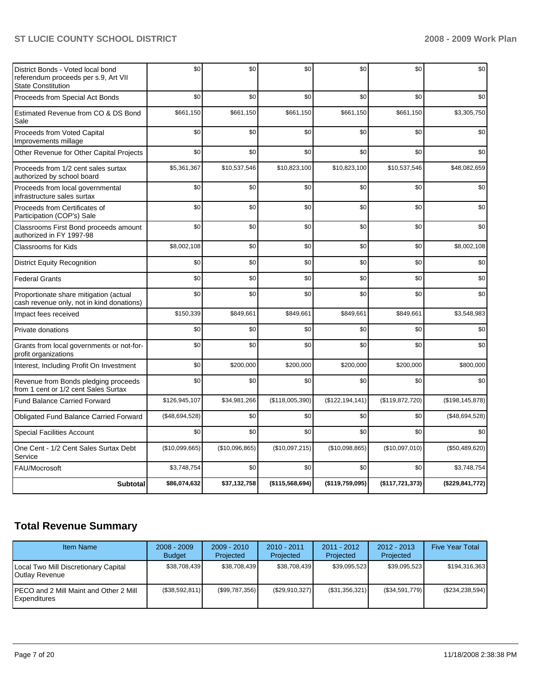| District Bonds - Voted local bond<br>referendum proceeds per s.9, Art VII<br><b>State Constitution</b> | \$0            | \$0            | \$0             | \$0               | \$0             | \$0               |
|--------------------------------------------------------------------------------------------------------|----------------|----------------|-----------------|-------------------|-----------------|-------------------|
| Proceeds from Special Act Bonds                                                                        | \$0            | \$0            | \$0             | \$0               | \$0             | \$0               |
| Estimated Revenue from CO & DS Bond<br>Sale                                                            | \$661,150      | \$661,150      | \$661,150       | \$661,150         | \$661,150       | \$3,305,750       |
| Proceeds from Voted Capital<br>Improvements millage                                                    | \$0            | \$0            | \$0             | \$0               | \$0             | \$0               |
| Other Revenue for Other Capital Projects                                                               | \$0            | \$0            | \$0             | \$0               | \$0             | \$0               |
| Proceeds from 1/2 cent sales surtax<br>authorized by school board                                      | \$5,361,367    | \$10,537,546   | \$10,823,100    | \$10,823,100      | \$10,537,546    | \$48,082,659      |
| Proceeds from local governmental<br>infrastructure sales surtax                                        | \$0            | \$0            | \$0             | \$0               | \$0             | \$0               |
| Proceeds from Certificates of<br>Participation (COP's) Sale                                            | \$0            | \$0            | \$0             | \$0               | \$0             | \$0               |
| Classrooms First Bond proceeds amount<br>authorized in FY 1997-98                                      | \$0            | \$0            | \$0             | \$0               | \$0             | \$0               |
| <b>Classrooms for Kids</b>                                                                             | \$8,002,108    | \$0            | \$0             | \$0               | \$0             | \$8,002,108       |
| <b>District Equity Recognition</b>                                                                     | \$0            | \$0            | \$0             | \$0               | \$0             | \$0               |
| <b>Federal Grants</b>                                                                                  | \$0            | \$0            | \$0             | \$0               | \$0             | \$0               |
| Proportionate share mitigation (actual<br>cash revenue only, not in kind donations)                    | \$0            | \$0            | \$0             | \$0               | \$0             | \$0               |
| Impact fees received                                                                                   | \$150,339      | \$849,661      | \$849,661       | \$849,661         | \$849,661       | \$3,548,983       |
| Private donations                                                                                      | \$0            | \$0            | \$0             | \$0               | \$0             | \$0               |
| Grants from local governments or not-for-<br>profit organizations                                      | \$0            | \$0            | \$0             | \$0               | \$0             | \$0               |
| Interest, Including Profit On Investment                                                               | \$0            | \$200,000      | \$200,000       | \$200,000         | \$200,000       | \$800,000         |
| Revenue from Bonds pledging proceeds<br>from 1 cent or 1/2 cent Sales Surtax                           | \$0            | \$0            | \$0             | \$0               | \$0             | \$0               |
| <b>Fund Balance Carried Forward</b>                                                                    | \$126,945,107  | \$34,981,266   | (\$118,005,390) | (\$122, 194, 141) | (\$119,872,720) | (\$198, 145, 878) |
| Obligated Fund Balance Carried Forward                                                                 | (\$48,694,528) | \$0            | \$0             | \$0               | \$0             | (\$48,694,528)    |
| <b>Special Facilities Account</b>                                                                      | \$0            | \$0            | \$0             | \$0               | \$0             | \$0               |
| One Cent - 1/2 Cent Sales Surtax Debt<br>Service                                                       | (\$10,099,665) | (\$10,096,865) | (\$10,097,215)  | (\$10,098,865)    | (\$10,097,010)  | (\$50,489,620)    |
| FAU/Mocrosoft                                                                                          | \$3,748,754    | \$0            | \$0             | \$0               | \$0             | \$3,748,754       |
| <b>Subtotal</b>                                                                                        | \$86,074,632   | \$37,132,758   | (\$115,568,694) | (\$119,759,095)   | (\$117,721,373) | (\$229,841,772)   |

## **Total Revenue Summary**

| <b>Item Name</b>                                               | $2008 - 2009$<br><b>Budget</b> | $2009 - 2010$<br>Projected | $2010 - 2011$<br>Projected | $2011 - 2012$<br>Projected | $2012 - 2013$<br>Projected | <b>Five Year Total</b> |
|----------------------------------------------------------------|--------------------------------|----------------------------|----------------------------|----------------------------|----------------------------|------------------------|
| Local Two Mill Discretionary Capital<br>Outlay Revenue         | \$38,708,439                   | \$38,708,439               | \$38,708,439               | \$39,095,523               | \$39,095,523               | \$194,316,363          |
| <b>IPECO and 2 Mill Maint and Other 2 Mill</b><br>Expenditures | (\$38,592,811)                 | $(\$99,787,356)$           | (\$29,910,327)             | (S31, 356, 321)            | (\$34,591,779)             | (\$234, 238, 594)      |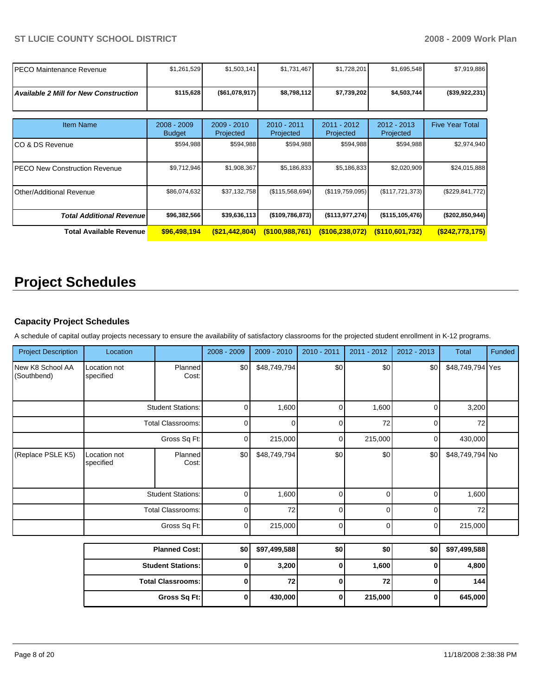| IPECO Maintenance Revenue                    | \$1,261,529                    | \$1,503,141                | \$1,731,467              | \$1,728,201                | \$1,695,548              | \$7,919,886            |
|----------------------------------------------|--------------------------------|----------------------------|--------------------------|----------------------------|--------------------------|------------------------|
| <b>Available 2 Mill for New Construction</b> | \$115,628                      | (\$61,078,917)             | \$8,798,112              | \$7,739,202                | \$4,503,744              | (\$39,922,231)         |
| <b>Item Name</b>                             | $2008 - 2009$<br><b>Budget</b> | $2009 - 2010$<br>Projected | 2010 - 2011<br>Projected | $2011 - 2012$<br>Projected | 2012 - 2013<br>Projected | <b>Five Year Total</b> |
| ICO & DS Revenue                             | \$594,988                      | \$594,988                  | \$594,988                | \$594,988                  | \$594,988                | \$2,974,940            |
| <b>IPECO New Construction Revenue</b>        | \$9,712,946                    | \$1,908,367                | \$5,186,833              | \$5,186,833                | \$2,020,909              | \$24,015,888           |
| Other/Additional Revenue                     | \$86,074,632                   | \$37,132,758               | (\$115,568,694)          | (\$119,759,095)            | (\$117,721,373)          | (\$229, 841, 772)      |
| <b>Total Additional Revenuel</b>             | \$96,382,566                   | \$39,636,113               | (\$109,786,873)          | (\$113,977,274)            | (\$115, 105, 476)        | (\$202,850,944)        |
| <b>Total Available Revenue</b>               | \$96,498,194                   | (\$21,442,804)             | $($ \$100,988,761)       | $($ \$106,238,072)         | $($ \$110,601,732)       | $($ \$242,773,175)     |

# **Project Schedules**

## **Capacity Project Schedules**

A schedule of capital outlay projects necessary to ensure the availability of satisfactory classrooms for the projected student enrollment in K-12 programs.

| <b>Project Description</b>      | Location                  |                          | 2008 - 2009 | 2009 - 2010  | 2010 - 2011 | 2011 - 2012 | 2012 - 2013 | <b>Total</b>     | Funded |
|---------------------------------|---------------------------|--------------------------|-------------|--------------|-------------|-------------|-------------|------------------|--------|
| New K8 School AA<br>(Southbend) | Location not<br>specified | Planned<br>Cost:         | \$0         | \$48,749,794 | \$0         | \$0         | \$0         | \$48,749,794 Yes |        |
|                                 |                           | <b>Student Stations:</b> | 0           | 1,600        | 0           | 1,600       | 0           | 3,200            |        |
|                                 |                           | <b>Total Classrooms:</b> | $\mathbf 0$ | $\Omega$     | $\mathbf 0$ | 72          | $\Omega$    | 72               |        |
|                                 |                           | Gross Sq Ft:             | 0           | 215,000      | 0           | 215,000     | 0           | 430,000          |        |
| (Replace PSLE K5)               | Location not<br>specified | Planned<br>Cost:         | \$0         | \$48,749,794 | \$0         | \$0         | \$0         | \$48,749,794 No  |        |
|                                 |                           | <b>Student Stations:</b> | 0           | 1,600        | $\mathbf 0$ | $\Omega$    | $\mathbf 0$ | 1,600            |        |
|                                 |                           | <b>Total Classrooms:</b> | $\mathbf 0$ | 72           | $\mathbf 0$ | 0           | 0           | 72               |        |
|                                 |                           | Gross Sq Ft:             | 0           | 215,000      | 0           | 0           | 0           | 215,000          |        |
|                                 |                           | <b>Planned Cost:</b>     | \$0         | \$97,499,588 | \$0         | \$0         | \$0         | \$97,499,588     |        |
|                                 | <b>Student Stations:</b>  |                          | 0           | 3,200        | 0           | 1,600       | 0           | 4,800            |        |
|                                 |                           | <b>Total Classrooms:</b> | $\mathbf 0$ | 72           | $\mathbf 0$ | 72          | $\mathbf 0$ | 144              |        |
|                                 |                           | Gross Sq Ft:             | 0           | 430,000      | 0           | 215,000     | 0           | 645,000          |        |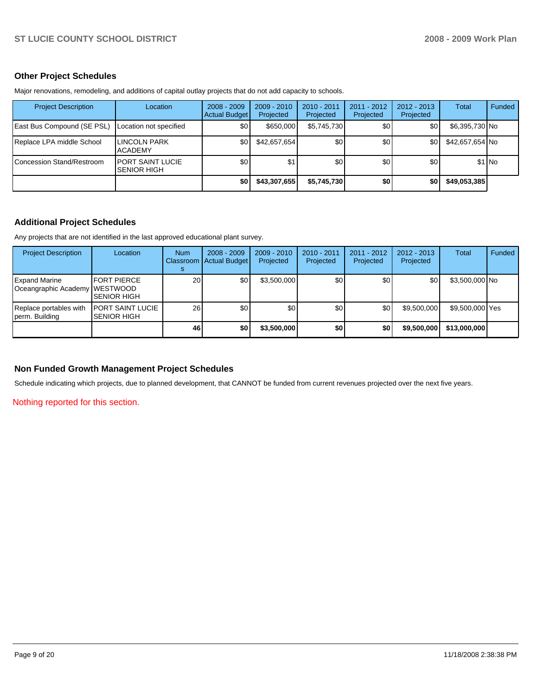## **Other Project Schedules**

Major renovations, remodeling, and additions of capital outlay projects that do not add capacity to schools.

| <b>Project Description</b> | Location                                       | $2008 - 2009$<br>Actual Budget | $2009 - 2010$<br>Projected | 2010 - 2011<br>Projected | $2011 - 2012$<br>Projected | $2012 - 2013$<br>Projected | Total           | Funded  |
|----------------------------|------------------------------------------------|--------------------------------|----------------------------|--------------------------|----------------------------|----------------------------|-----------------|---------|
| East Bus Compound (SE PSL) | Location not specified                         | \$0                            | \$650,000                  | \$5,745,730              | \$0                        | \$0                        | \$6,395,730 No  |         |
| Replace LPA middle School  | LINCOLN PARK<br><b>ACADEMY</b>                 | \$0                            | \$42,657,654               | \$0                      | \$0                        | \$0                        | \$42,657,654 No |         |
| Concession Stand/Restroom  | <b>IPORT SAINT LUCIE</b><br><b>SENIOR HIGH</b> | \$0                            | \$1                        | \$0                      | \$0                        | \$0                        |                 | $$1$ No |
|                            |                                                | \$0                            | \$43,307,655               | \$5,745,730              | \$0                        | \$0                        | \$49,053,385    |         |

## **Additional Project Schedules**

Any projects that are not identified in the last approved educational plant survey.

| <b>Project Description</b>                            | Location                                      | <b>Num</b>      | $2008 - 2009$<br>Classroom   Actual Budget | $2009 - 2010$<br>Projected | $2010 - 2011$<br>Projected | $2011 - 2012$<br>Projected | $2012 - 2013$<br>Projected | Total           | Funded |
|-------------------------------------------------------|-----------------------------------------------|-----------------|--------------------------------------------|----------------------------|----------------------------|----------------------------|----------------------------|-----------------|--------|
| <b>Expand Marine</b><br>Oceangraphic Academy WESTWOOD | FORT PIERCE<br><b>SENIOR HIGH</b>             | 20 <sub>l</sub> | \$0                                        | \$3,500,000                | \$0                        | \$0                        | \$0                        | \$3,500,000 No  |        |
| Replace portables with<br>perm. Building              | <b>PORT SAINT LUCIE</b><br><b>SENIOR HIGH</b> | <b>26</b>       | \$0                                        | \$0                        | \$0                        | \$0                        | \$9,500,000                | \$9,500,000 Yes |        |
|                                                       |                                               | 46              | \$0                                        | \$3,500,000                | \$0                        | \$0                        | \$9,500,000                | \$13,000,000    |        |

## **Non Funded Growth Management Project Schedules**

Schedule indicating which projects, due to planned development, that CANNOT be funded from current revenues projected over the next five years.

Nothing reported for this section.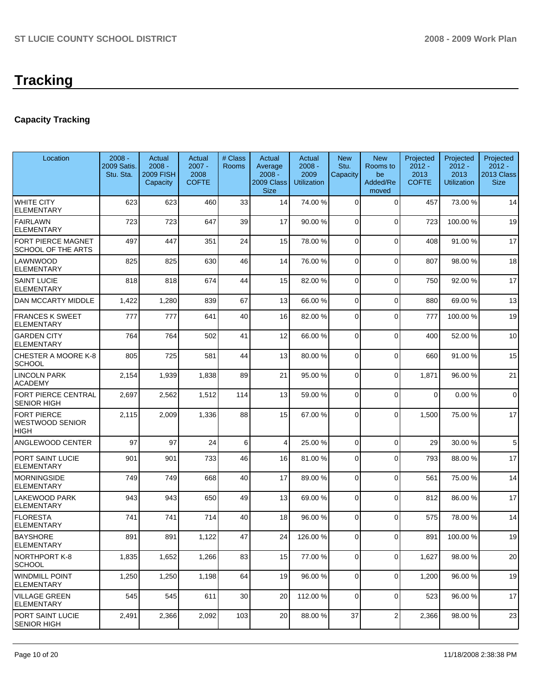## **Capacity Tracking**

| Location                                         | $2008 -$<br>2009 Satis.<br>Stu. Sta. | Actual<br>$2008 -$<br><b>2009 FISH</b><br>Capacity | Actual<br>$2007 -$<br>2008<br><b>COFTE</b> | # Class<br>Rooms | Actual<br>Average<br>$2008 -$<br>2009 Class<br><b>Size</b> | Actual<br>$2008 -$<br>2009<br><b>Utilization</b> | <b>New</b><br>Stu.<br>Capacity | <b>New</b><br>Rooms to<br>be<br>Added/Re<br>moved | Projected<br>$2012 -$<br>2013<br><b>COFTE</b> | Projected<br>$2012 -$<br>2013<br><b>Utilization</b> | Projected<br>$2012 -$<br>2013 Class<br><b>Size</b> |
|--------------------------------------------------|--------------------------------------|----------------------------------------------------|--------------------------------------------|------------------|------------------------------------------------------------|--------------------------------------------------|--------------------------------|---------------------------------------------------|-----------------------------------------------|-----------------------------------------------------|----------------------------------------------------|
| <b>WHITE CITY</b><br><b>ELEMENTARY</b>           | 623                                  | 623                                                | 460                                        | 33               | 14                                                         | 74.00 %                                          | $\mathbf 0$                    | 0                                                 | 457                                           | 73.00 %                                             | 14                                                 |
| <b>FAIRLAWN</b><br>ELEMENTARY                    | 723                                  | 723                                                | 647                                        | 39               | 17                                                         | 90.00 %                                          | $\Omega$                       | $\mathbf{0}$                                      | 723                                           | 100.00 %                                            | 19                                                 |
| FORT PIERCE MAGNET<br>SCHOOL OF THE ARTS         | 497                                  | 447                                                | 351                                        | 24               | 15                                                         | 78.00 %                                          | $\mathbf 0$                    | $\mathbf 0$                                       | 408                                           | 91.00%                                              | 17                                                 |
| LAWNWOOD<br><b>ELEMENTARY</b>                    | 825                                  | 825                                                | 630                                        | 46               | 14                                                         | 76.00 %                                          | $\Omega$                       | $\overline{0}$                                    | 807                                           | 98.00 %                                             | 18                                                 |
| <b>SAINT LUCIE</b><br><b>ELEMENTARY</b>          | 818                                  | 818                                                | 674                                        | 44               | 15                                                         | 82.00 %                                          | $\Omega$                       | $\mathbf 0$                                       | 750                                           | 92.00 %                                             | 17                                                 |
| DAN MCCARTY MIDDLE                               | 1,422                                | 1,280                                              | 839                                        | 67               | 13                                                         | 66.00 %                                          | $\Omega$                       | $\Omega$                                          | 880                                           | 69.00 %                                             | 13                                                 |
| <b>FRANCES K SWEET</b><br><b>ELEMENTARY</b>      | 777                                  | 777                                                | 641                                        | 40               | 16                                                         | 82.00 %                                          | $\Omega$                       | $\Omega$                                          | 777                                           | 100.00 %                                            | 19                                                 |
| <b>GARDEN CITY</b><br><b>ELEMENTARY</b>          | 764                                  | 764                                                | 502                                        | 41               | 12                                                         | 66.00 %                                          | $\Omega$                       | $\Omega$                                          | 400                                           | 52.00 %                                             | 10                                                 |
| CHESTER A MOORE K-8<br><b>SCHOOL</b>             | 805                                  | 725                                                | 581                                        | 44               | 13                                                         | 80.00 %                                          | $\Omega$                       | $\Omega$                                          | 660                                           | 91.00 %                                             | 15                                                 |
| LINCOLN PARK<br><b>ACADEMY</b>                   | 2,154                                | 1,939                                              | 1,838                                      | 89               | 21                                                         | 95.00 %                                          | $\Omega$                       | $\Omega$                                          | 1,871                                         | 96.00 %                                             | 21                                                 |
| <b>FORT PIERCE CENTRAL</b><br><b>SENIOR HIGH</b> | 2,697                                | 2,562                                              | 1,512                                      | 114              | 13                                                         | 59.00 %                                          | $\Omega$                       | $\Omega$                                          | $\overline{0}$                                | 0.00%                                               | $\mathbf 0$                                        |
| <b>FORT PIERCE</b><br>WESTWOOD SENIOR<br>HIGH    | 2,115                                | 2,009                                              | 1,336                                      | 88               | 15                                                         | 67.00 %                                          | 0                              | $\Omega$                                          | 1,500                                         | 75.00 %                                             | 17                                                 |
| <b>ANGLEWOOD CENTER</b>                          | 97                                   | 97                                                 | 24                                         | 6                | 4                                                          | 25.00 %                                          | $\Omega$                       | $\Omega$                                          | 29                                            | 30.00 %                                             | 5                                                  |
| PORT SAINT LUCIE<br><b>ELEMENTARY</b>            | 901                                  | 901                                                | 733                                        | 46               | 16                                                         | 81.00 %                                          | $\Omega$                       | $\Omega$                                          | 793                                           | 88.00 %                                             | 17                                                 |
| <b>MORNINGSIDE</b><br>ELEMENTARY                 | 749                                  | 749                                                | 668                                        | 40               | 17                                                         | 89.00 %                                          | 0                              | $\Omega$                                          | 561                                           | 75.00 %                                             | 14                                                 |
| LAKEWOOD PARK<br><b>ELEMENTARY</b>               | 943                                  | 943                                                | 650                                        | 49               | 13                                                         | 69.00 %                                          | $\Omega$                       | $\Omega$                                          | 812                                           | 86.00 %                                             | 17                                                 |
| <b>FLORESTA</b><br>ELEMENTARY                    | 741                                  | 741                                                | 714                                        | 40               | 18                                                         | 96.00 %                                          | $\Omega$                       | $\Omega$                                          | 575                                           | 78.00 %                                             | 14                                                 |
| <b>BAYSHORE</b><br><b>ELEMENTARY</b>             | 891                                  | 891                                                | 1,122                                      | 47               | 24                                                         | 126.00%                                          | 0                              | $\Omega$                                          | 891                                           | 100.00 %                                            | 19                                                 |
| NORTHPORT K-8<br><b>SCHOOL</b>                   | 1,835                                | 1,652                                              | 1,266                                      | 83               | 15                                                         | 77.00 %                                          | 0                              | $\mathbf 0$                                       | 1,627                                         | 98.00 %                                             | 20                                                 |
| <b>WINDMILL POINT</b><br><b>ELEMENTARY</b>       | 1,250                                | 1,250                                              | 1,198                                      | 64               | 19                                                         | 96.00 %                                          | $\overline{0}$                 | $\mathbf 0$                                       | 1,200                                         | 96.00 %                                             | 19                                                 |
| <b>VILLAGE GREEN</b><br><b>ELEMENTARY</b>        | 545                                  | 545                                                | 611                                        | 30               | 20                                                         | 112.00 %                                         | $\overline{0}$                 | 0                                                 | 523                                           | 96.00 %                                             | 17                                                 |
| PORT SAINT LUCIE<br><b>SENIOR HIGH</b>           | 2,491                                | 2,366                                              | 2,092                                      | 103              | 20                                                         | 88.00 %                                          | 37                             | 2                                                 | 2,366                                         | 98.00 %                                             | 23                                                 |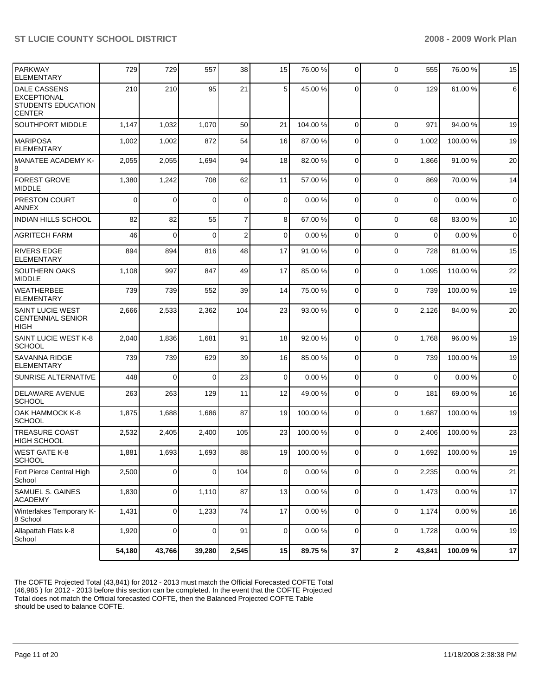| <b>PARKWAY</b><br><b>ELEMENTARY</b>                                                     | 729    | 729            | 557         | 38             | 15             | 76.00 %   | 0              | $\Omega$    | 555         | 76.00 %   | 15             |
|-----------------------------------------------------------------------------------------|--------|----------------|-------------|----------------|----------------|-----------|----------------|-------------|-------------|-----------|----------------|
| <b>DALE CASSENS</b><br><b>EXCEPTIONAL</b><br><b>STUDENTS EDUCATION</b><br><b>CENTER</b> | 210    | 210            | 95          | 21             | 5              | 45.00 %   | $\Omega$       | $\Omega$    | 129         | 61.00%    | 6              |
| <b>SOUTHPORT MIDDLE</b>                                                                 | 1,147  | 1,032          | 1,070       | 50             | 21             | 104.00 %  | $\mathbf 0$    | 0           | 971         | 94.00 %   | 19             |
| <b>MARIPOSA</b><br><b>ELEMENTARY</b>                                                    | 1,002  | 1,002          | 872         | 54             | 16             | 87.00 %   | $\Omega$       | $\Omega$    | 1,002       | 100.00 %  | 19             |
| <b>MANATEE ACADEMY K-</b><br>8                                                          | 2,055  | 2,055          | 1,694       | 94             | 18             | 82.00 %   | $\Omega$       | $\Omega$    | 1,866       | 91.00 %   | 20             |
| <b>FOREST GROVE</b><br><b>MIDDLE</b>                                                    | 1,380  | 1,242          | 708         | 62             | 11             | 57.00 %   | $\Omega$       | $\Omega$    | 869         | 70.00 %   | 14             |
| <b>PRESTON COURT</b><br><b>ANNEX</b>                                                    | 0      | 0              | $\Omega$    | $\mathbf 0$    | $\Omega$       | 0.00%     | $\Omega$       | $\Omega$    | $\mathbf 0$ | 0.00%     | $\overline{0}$ |
| <b>INDIAN HILLS SCHOOL</b>                                                              | 82     | 82             | 55          | $\overline{7}$ | 8              | 67.00 %   | $\mathbf 0$    | $\mathbf 0$ | 68          | 83.00 %   | 10             |
| <b>AGRITECH FARM</b>                                                                    | 46     | 0              | $\Omega$    | $\overline{2}$ | $\mathbf 0$    | 0.00%     | 0              | $\Omega$    | $\mathbf 0$ | 0.00%     | $\overline{0}$ |
| <b>RIVERS EDGE</b><br><b>ELEMENTARY</b>                                                 | 894    | 894            | 816         | 48             | 17             | 91.00 %   | 0              | $\Omega$    | 728         | 81.00 %   | 15             |
| <b>SOUTHERN OAKS</b><br><b>MIDDLE</b>                                                   | 1,108  | 997            | 847         | 49             | 17             | 85.00 %   | $\mathbf 0$    | $\Omega$    | 1,095       | 110.00%   | 22             |
| <b>WEATHERBEE</b><br><b>ELEMENTARY</b>                                                  | 739    | 739            | 552         | 39             | 14             | 75.00 %   | 0              | $\Omega$    | 739         | 100.00 %  | 19             |
| <b>SAINT LUCIE WEST</b><br><b>CENTENNIAL SENIOR</b><br><b>HIGH</b>                      | 2,666  | 2,533          | 2,362       | 104            | 23             | 93.00 %   | $\Omega$       | $\Omega$    | 2,126       | 84.00 %   | 20             |
| SAINT LUCIE WEST K-8<br><b>SCHOOL</b>                                                   | 2,040  | 1,836          | 1,681       | 91             | 18             | 92.00 %   | $\Omega$       | $\Omega$    | 1,768       | 96.00 %   | 19             |
| <b>SAVANNA RIDGE</b><br><b>ELEMENTARY</b>                                               | 739    | 739            | 629         | 39             | 16             | 85.00 %   | 0              | $\mathbf 0$ | 739         | 100.00 %  | 19             |
| SUNRISE ALTERNATIVE                                                                     | 448    | $\overline{0}$ | $\Omega$    | 23             | 0              | 0.00%     | 0              | $\Omega$    | $\mathbf 0$ | 0.00%     | $\overline{0}$ |
| DELAWARE AVENUE<br><b>SCHOOL</b>                                                        | 263    | 263            | 129         | 11             | 12             | 49.00 %   | $\mathbf 0$    | $\Omega$    | 181         | 69.00 %   | 16             |
| OAK HAMMOCK K-8<br><b>SCHOOL</b>                                                        | 1,875  | 1,688          | 1,686       | 87             | 19             | 100.00 %  | $\mathbf 0$    | $\mathbf 0$ | 1,687       | 100.00 %  | 19             |
| <b>TREASURE COAST</b><br><b>HIGH SCHOOL</b>                                             | 2,532  | 2,405          | 2,400       | 105            | 23             | 100.00 %  | $\Omega$       | $\Omega$    | 2,406       | 100.00 %  | 23             |
| <b>WEST GATE K-8</b><br>SCHOOL                                                          | 1,881  | 1,693          | 1,693       | 88             | 19             | 100.00%   | $\overline{0}$ | 0           | 1,692       | 100.00%   | 19             |
| Fort Pierce Central High<br>School                                                      | 2,500  | $\overline{0}$ | 0           | 104            | $\overline{0}$ | $0.00 \%$ | $\mathbf 0$    | $\mathbf 0$ | 2,235       | $0.00 \%$ | 21             |
| <b>SAMUEL S. GAINES</b><br><b>ACADEMY</b>                                               | 1,830  | $\overline{0}$ | 1,110       | 87             | 13             | 0.00%     | $\mathbf 0$    | 0           | 1,473       | $0.00 \%$ | 17             |
| Winterlakes Temporary K-<br>8 School                                                    | 1,431  | $\overline{0}$ | 1,233       | 74             | 17             | $0.00 \%$ | $\Omega$       | $\mathbf 0$ | 1,174       | $0.00 \%$ | 16             |
| Allapattah Flats k-8<br>School                                                          | 1,920  | $\mathbf 0$    | $\mathbf 0$ | 91             | $\overline{0}$ | $0.00 \%$ | $\mathbf 0$    | 0           | 1,728       | $0.00 \%$ | 19             |
|                                                                                         | 54,180 | 43,766         | 39,280      | 2,545          | 15             | 89.75%    | 37             | $\mathbf 2$ | 43,841      | 100.09%   | 17             |

The COFTE Projected Total (43,841) for 2012 - 2013 must match the Official Forecasted COFTE Total (46,985 ) for 2012 - 2013 before this section can be completed. In the event that the COFTE Projected Total does not match the Official forecasted COFTE, then the Balanced Projected COFTE Table should be used to balance COFTE.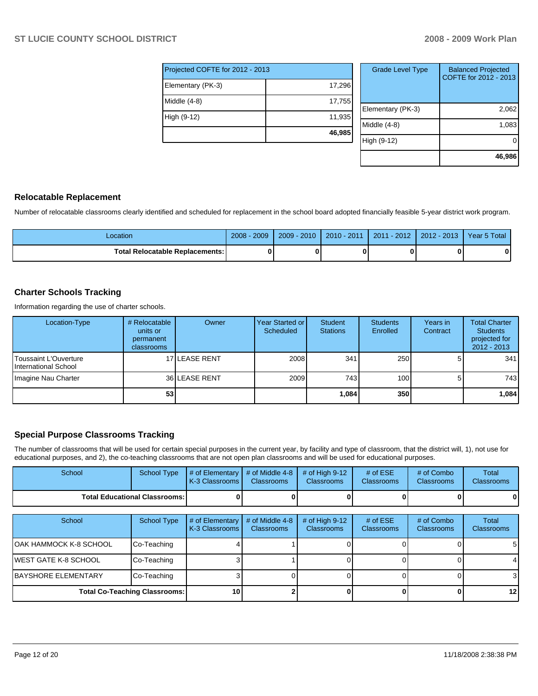| Projected COFTE for 2012 - 2013 |        |  |  |  |  |  |
|---------------------------------|--------|--|--|--|--|--|
| Elementary (PK-3)               | 17,296 |  |  |  |  |  |
| Middle (4-8)                    | 17,755 |  |  |  |  |  |
| High (9-12)                     | 11,935 |  |  |  |  |  |
|                                 | 46,985 |  |  |  |  |  |

| <b>Grade Level Type</b> | <b>Balanced Projected</b><br>COFTE for 2012 - 2013 |
|-------------------------|----------------------------------------------------|
| Elementary (PK-3)       | 2,062                                              |
| Middle $(4-8)$          | 1,083                                              |
| High (9-12)             |                                                    |
|                         | 46,986                                             |

### **Relocatable Replacement**

Number of relocatable classrooms clearly identified and scheduled for replacement in the school board adopted financially feasible 5-year district work program.

| _ocation                               | .2009<br>$2008 -$ | $2009 - 2010$ | $2010 - 2011$ | 2011 - 2012 | $2012 - 2013$ | Year 5 Total |
|----------------------------------------|-------------------|---------------|---------------|-------------|---------------|--------------|
| <b>Total Relocatable Replacements:</b> |                   |               |               |             |               |              |

## **Charter Schools Tracking**

Information regarding the use of charter schools.

| Location-Type                                         | # Relocatable<br>units or<br>permanent<br>classrooms | Owner         | Year Started or <b>I</b><br>Scheduled | Student<br><b>Stations</b> | <b>Students</b><br>Enrolled | Years in<br>Contract | <b>Total Charter</b><br><b>Students</b><br>projected for<br>$2012 - 2013$ |
|-------------------------------------------------------|------------------------------------------------------|---------------|---------------------------------------|----------------------------|-----------------------------|----------------------|---------------------------------------------------------------------------|
| <b>IToussaint L'Ouverture</b><br>International School |                                                      | 17 LEASE RENT | 2008                                  | 341                        | 250                         |                      | 341                                                                       |
| Imagine Nau Charter                                   |                                                      | 36 LEASE RENT | 2009                                  | 743                        | 100 <sup>1</sup>            |                      | 743I                                                                      |
|                                                       | 53                                                   |               |                                       | 1,084                      | 350                         |                      | 1,084                                                                     |

## **Special Purpose Classrooms Tracking**

The number of classrooms that will be used for certain special purposes in the current year, by facility and type of classroom, that the district will, 1), not use for educational purposes, and 2), the co-teaching classrooms that are not open plan classrooms and will be used for educational purposes.

| School                                 | School Type | $\parallel$ # of Elementary $\parallel$ # of Middle 4-8 $\parallel$ # of High 9-12<br>K-3 Classrooms | <b>Classrooms</b> | <b>Classrooms</b> | # of $ESE$<br>Classrooms | # of Combo<br><b>Classrooms</b> | Total<br><b>Classrooms</b> |
|----------------------------------------|-------------|------------------------------------------------------------------------------------------------------|-------------------|-------------------|--------------------------|---------------------------------|----------------------------|
| <b>Total Educational Classrooms: I</b> |             |                                                                                                      |                   |                   |                          | 01                              | 0                          |

| School                      | School Type                          | # of Elementary<br>K-3 Classrooms | # of Middle 4-8<br><b>Classrooms</b> | # of High $9-12$<br><b>Classrooms</b> | # of $ESE$<br><b>Classrooms</b> | # of Combo<br><b>Classrooms</b> | Total<br>Classrooms |
|-----------------------------|--------------------------------------|-----------------------------------|--------------------------------------|---------------------------------------|---------------------------------|---------------------------------|---------------------|
| IOAK HAMMOCK K-8 SCHOOL     | Co-Teaching                          |                                   |                                      |                                       |                                 |                                 | 5                   |
| IWEST GATE K-8 SCHOOL       | Co-Teaching                          |                                   |                                      |                                       |                                 |                                 | 4                   |
| <b>IBAYSHORE ELEMENTARY</b> | Co-Teaching                          |                                   |                                      |                                       |                                 |                                 | 3                   |
|                             | <b>Total Co-Teaching Classrooms:</b> | <b>101</b>                        |                                      |                                       |                                 |                                 | 12                  |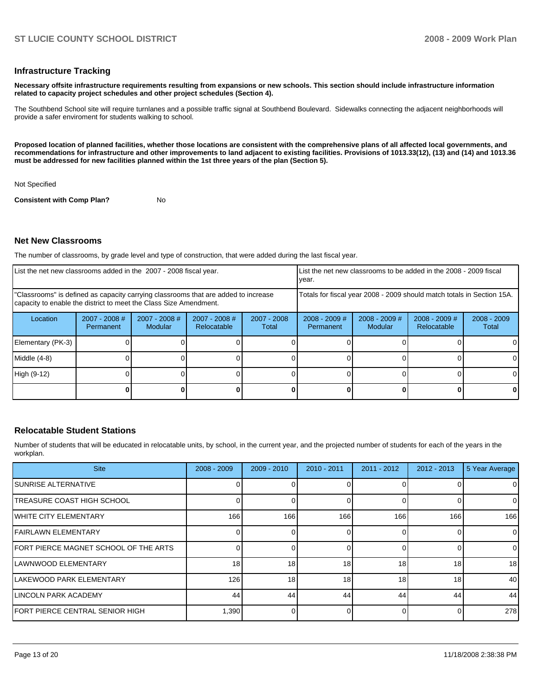#### **Infrastructure Tracking**

**Necessary offsite infrastructure requirements resulting from expansions or new schools. This section should include infrastructure information related to capacity project schedules and other project schedules (Section 4).** 

The Southbend School site will require turnlanes and a possible traffic signal at Southbend Boulevard. Sidewalks connecting the adjacent neighborhoods will provide a safer enviroment for students walking to school.

**Proposed location of planned facilities, whether those locations are consistent with the comprehensive plans of all affected local governments, and recommendations for infrastructure and other improvements to land adjacent to existing facilities. Provisions of 1013.33(12), (13) and (14) and 1013.36 must be addressed for new facilities planned within the 1st three years of the plan (Section 5).** 

Not Specified

**Consistent with Comp Plan?** No

#### **Net New Classrooms**

The number of classrooms, by grade level and type of construction, that were added during the last fiscal year.

| List the net new classrooms added in the 2007 - 2008 fiscal year.                                                                                       |                              |                                 |                                                                        | List the net new classrooms to be added in the 2008 - 2009 fiscal<br>year. |                              |                            |                                       |                        |
|---------------------------------------------------------------------------------------------------------------------------------------------------------|------------------------------|---------------------------------|------------------------------------------------------------------------|----------------------------------------------------------------------------|------------------------------|----------------------------|---------------------------------------|------------------------|
| "Classrooms" is defined as capacity carrying classrooms that are added to increase<br>capacity to enable the district to meet the Class Size Amendment. |                              |                                 | Totals for fiscal year 2008 - 2009 should match totals in Section 15A. |                                                                            |                              |                            |                                       |                        |
| Location                                                                                                                                                | $2007 - 2008$ #<br>Permanent | 2007 - 2008 #<br><b>Modular</b> | $2007 - 2008$ #<br>Relocatable                                         | $2007 - 2008$<br>Total                                                     | $2008 - 2009$ #<br>Permanent | $2008 - 2009$ #<br>Modular | $2008 - 2009$ #<br><b>Relocatable</b> | $2008 - 2009$<br>Total |
| Elementary (PK-3)                                                                                                                                       |                              |                                 |                                                                        |                                                                            |                              |                            |                                       |                        |
| Middle (4-8)                                                                                                                                            |                              |                                 |                                                                        |                                                                            |                              |                            |                                       |                        |
| High (9-12)                                                                                                                                             |                              |                                 |                                                                        |                                                                            |                              |                            |                                       | ΩI                     |
|                                                                                                                                                         |                              |                                 |                                                                        |                                                                            |                              |                            |                                       |                        |

## **Relocatable Student Stations**

Number of students that will be educated in relocatable units, by school, in the current year, and the projected number of students for each of the years in the workplan.

| <b>Site</b>                             | $2008 - 2009$ | $2009 - 2010$ | $2010 - 2011$ | $2011 - 2012$ | $2012 - 2013$ | 5 Year Average |
|-----------------------------------------|---------------|---------------|---------------|---------------|---------------|----------------|
| ISUNRISE ALTERNATIVE                    |               |               |               |               |               | $\overline{0}$ |
| ITREASURE COAST HIGH SCHOOL             |               |               |               |               | O             | $\overline{0}$ |
| <b>IWHITE CITY ELEMENTARY</b>           | 166           | 166           | 166           | 166           | 166           | 166            |
| <b>IFAIRLAWN ELEMENTARY</b>             |               |               |               |               |               | $\overline{0}$ |
| IFORT PIERCE MAGNET SCHOOL OF THE ARTS  |               |               |               |               | $\Omega$      | $\overline{0}$ |
| ILAWNWOOD ELEMENTARY                    | 18            | 18            | 18            | 18            | 18            | 18             |
| ILAKEWOOD PARK ELEMENTARY               | 126           | 18            | 18            | 18            | 18            | 40             |
| <b>ILINCOLN PARK ACADEMY</b>            | 44            | 44            | 44            | 44            | 44            | 44             |
| <b>IFORT PIERCE CENTRAL SENIOR HIGH</b> | 1,390         |               |               |               | O             | 278            |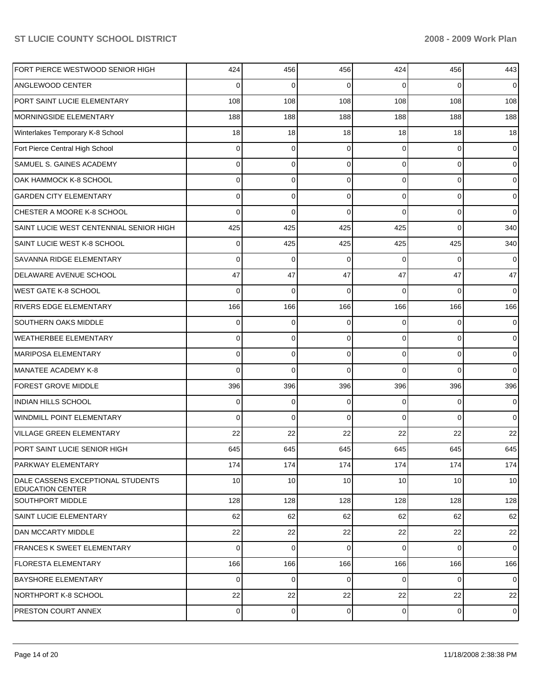| FORT PIERCE WESTWOOD SENIOR HIGH                             | 424            | 456         | 456      | 424            | 456      | 443             |
|--------------------------------------------------------------|----------------|-------------|----------|----------------|----------|-----------------|
| ANGLEWOOD CENTER                                             | 0              | 0           | 0        | $\Omega$       | $\Omega$ | $\overline{0}$  |
| PORT SAINT LUCIE ELEMENTARY                                  | 108            | 108         | 108      | 108            | 108      | 108             |
| MORNINGSIDE ELEMENTARY                                       | 188            | 188         | 188      | 188            | 188      | 188             |
| Winterlakes Temporary K-8 School                             | 18             | 18          | 18       | 18             | 18       | 18              |
| Fort Pierce Central High School                              | 0              | 0           | 0        | 0              | 0        | $\overline{0}$  |
| SAMUEL S. GAINES ACADEMY                                     | 0              | $\mathbf 0$ | 0        | $\overline{0}$ | 0        | $\overline{0}$  |
| OAK HAMMOCK K-8 SCHOOL                                       | 0              | $\mathbf 0$ | 0        | $\overline{0}$ | 0        | $\overline{0}$  |
| <b>GARDEN CITY ELEMENTARY</b>                                | 0              | $\mathbf 0$ | 0        | $\overline{0}$ | 0        | $\overline{0}$  |
| CHESTER A MOORE K-8 SCHOOL                                   | 0              | $\mathbf 0$ | 0        | $\Omega$       | 0        | $\overline{0}$  |
| SAINT LUCIE WEST CENTENNIAL SENIOR HIGH                      | 425            | 425         | 425      | 425            | $\Omega$ | 340             |
| SAINT LUCIE WEST K-8 SCHOOL                                  | 0              | 425         | 425      | 425            | 425      | 340             |
| SAVANNA RIDGE ELEMENTARY                                     | 0              | 0           | 0        | $\Omega$       | $\Omega$ | $\overline{0}$  |
| DELAWARE AVENUE SCHOOL                                       | 47             | 47          | 47       | 47             | 47       | 47              |
| <b>WEST GATE K-8 SCHOOL</b>                                  | 0              | $\mathbf 0$ | $\Omega$ | $\Omega$       | $\Omega$ | $\overline{0}$  |
| <b>RIVERS EDGE ELEMENTARY</b>                                | 166            | 166         | 166      | 166            | 166      | 166             |
| SOUTHERN OAKS MIDDLE                                         | 0              | 0           | 0        | $\Omega$       | $\Omega$ | $\overline{0}$  |
| <b>WEATHERBEE ELEMENTARY</b>                                 | 0              | $\mathbf 0$ | 0        | $\overline{0}$ | 0        | $\overline{0}$  |
| MARIPOSA ELEMENTARY                                          | 0              | $\mathbf 0$ | 0        | $\Omega$       | 0        | $\overline{0}$  |
| MANATEE ACADEMY K-8                                          | 0              | $\Omega$    | 0        | $\Omega$       | $\Omega$ | $\overline{0}$  |
| FOREST GROVE MIDDLE                                          | 396            | 396         | 396      | 396            | 396      | 396             |
| INDIAN HILLS SCHOOL                                          | 0              | 0           | 0        | 0              | 0        | $\overline{0}$  |
| WINDMILL POINT ELEMENTARY                                    | 0              | $\mathbf 0$ | 0        | $\Omega$       | 0        | $\overline{0}$  |
| <b>VILLAGE GREEN ELEMENTARY</b>                              | 22             | 22          | 22       | 22             | 22       | 22              |
| PORT SAINT LUCIE SENIOR HIGH                                 | 645            | 645         | 645      | 645            | 645      | 645             |
| PARKWAY ELEMENTARY                                           | 174            | 174         | 174      | 174            | 174      | 174             |
| DALE CASSENS EXCEPTIONAL STUDENTS<br><b>EDUCATION CENTER</b> | 10             | 10          | 10       | 10             | 10       | 10 <sup>1</sup> |
| <b>SOUTHPORT MIDDLE</b>                                      | 128            | 128         | 128      | 128            | 128      | 128             |
| SAINT LUCIE ELEMENTARY                                       | 62             | 62          | 62       | 62             | 62       | 62              |
| <b>DAN MCCARTY MIDDLE</b>                                    | 22             | 22          | 22       | 22             | 22       | 22              |
| <b>IFRANCES K SWEET ELEMENTARY</b>                           | $\Omega$       | $\Omega$    | $\Omega$ | $\Omega$       | $\Omega$ | $\overline{0}$  |
| <b>FLORESTA ELEMENTARY</b>                                   | 166            | 166         | 166      | 166            | 166      | 166             |
| <b>BAYSHORE ELEMENTARY</b>                                   | 0              | $\mathbf 0$ | $\Omega$ | $\Omega$       | $\Omega$ | $\overline{0}$  |
| NORTHPORT K-8 SCHOOL                                         | 22             | 22          | 22       | 22             | 22       | 22              |
| PRESTON COURT ANNEX                                          | $\overline{0}$ | 0           | 0        | $\overline{0}$ | 0        | $\overline{0}$  |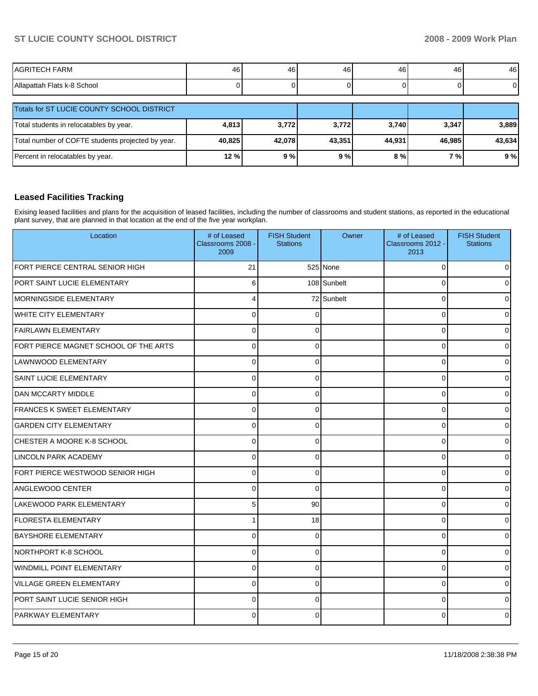| AGRITECH FARM                    | 46 | 46 | 46 | 46 | 46 | 46 |
|----------------------------------|----|----|----|----|----|----|
| Allapattah<br>ำ Flats k-8 School |    |    |    |    |    |    |

| Totals for ST LUCIE COUNTY SCHOOL DISTRICT        |        |        |        |        |        |        |
|---------------------------------------------------|--------|--------|--------|--------|--------|--------|
| Total students in relocatables by year.           | 4,813  | 3,772  | 3.772  | 3,740  | 3,347  | 3.889  |
| Total number of COFTE students projected by year. | 40,825 | 42.078 | 43.351 | 44.931 | 46.985 | 43.634 |
| Percent in relocatables by year.                  | 12%    | 9%     | 9%     | 8%     | 7 % I  | 9%     |

## **Leased Facilities Tracking**

Exising leased facilities and plans for the acquisition of leased facilities, including the number of classrooms and student stations, as reported in the educational plant survey, that are planned in that location at the end of the five year workplan.

| Location                              | # of Leased<br>Classrooms 2008 -<br>2009 | <b>FISH Student</b><br><b>Stations</b> | Owner       | # of Leased<br>Classrooms 2012 -<br>2013 | <b>FISH Student</b><br><b>Stations</b> |
|---------------------------------------|------------------------------------------|----------------------------------------|-------------|------------------------------------------|----------------------------------------|
| FORT PIERCE CENTRAL SENIOR HIGH       | 21                                       |                                        | 525 None    | $\Omega$                                 | $\overline{0}$                         |
| PORT SAINT LUCIE ELEMENTARY           | 6                                        |                                        | 108 Sunbelt | $\Omega$                                 | $\overline{0}$                         |
| MORNINGSIDE ELEMENTARY                | 4                                        |                                        | 72 Sunbelt  | $\Omega$                                 | $\overline{0}$                         |
| WHITE CITY ELEMENTARY                 | 0                                        | $\Omega$                               |             | $\Omega$                                 | $\overline{0}$                         |
| FAIRLAWN ELEMENTARY                   | 0                                        | $\Omega$                               |             | $\Omega$                                 | $\overline{0}$                         |
| FORT PIERCE MAGNET SCHOOL OF THE ARTS | 0                                        | $\Omega$                               |             | $\Omega$                                 | $\overline{0}$                         |
| LAWNWOOD ELEMENTARY                   | 0                                        | $\Omega$                               |             | 0                                        | $\overline{0}$                         |
| <b>SAINT LUCIE ELEMENTARY</b>         | 0                                        | $\Omega$                               |             | 0                                        | $\overline{0}$                         |
| DAN MCCARTY MIDDLE                    | 0                                        | $\Omega$                               |             | 0                                        | $\overline{0}$                         |
| FRANCES K SWEET ELEMENTARY            | $\Omega$                                 | $\Omega$                               |             | $\Omega$                                 | $\overline{0}$                         |
| <b>GARDEN CITY ELEMENTARY</b>         | 0                                        | $\Omega$                               |             | $\Omega$                                 | $\overline{0}$                         |
| CHESTER A MOORE K-8 SCHOOL            | $\mathbf 0$                              | $\Omega$                               |             | $\Omega$                                 | $\overline{0}$                         |
| <b>LINCOLN PARK ACADEMY</b>           | 0                                        | 0                                      |             | $\Omega$                                 | $\mathbf 0$                            |
| FORT PIERCE WESTWOOD SENIOR HIGH      | $\Omega$                                 | $\Omega$                               |             | $\Omega$                                 | $\Omega$                               |
| <b>ANGLEWOOD CENTER</b>               | 0                                        | $\Omega$                               |             | $\Omega$                                 | $\Omega$                               |
| LAKEWOOD PARK ELEMENTARY              | 5 <sup>1</sup>                           | 90                                     |             | $\Omega$                                 | 0                                      |
| <b>FLORESTA ELEMENTARY</b>            | 1                                        | 18                                     |             | $\Omega$                                 | $\Omega$                               |
| <b>BAYSHORE ELEMENTARY</b>            | $\Omega$                                 | $\Omega$                               |             | $\Omega$                                 | $\Omega$                               |
| NORTHPORT K-8 SCHOOL                  | $\Omega$                                 | $\Omega$                               |             | $\Omega$                                 | $\Omega$                               |
| <b>WINDMILL POINT ELEMENTARY</b>      | $\overline{0}$                           | $\Omega$                               |             | $\Omega$                                 | 0                                      |
| <b>VILLAGE GREEN ELEMENTARY</b>       | $\overline{0}$                           | $\Omega$                               |             | $\Omega$                                 | 0                                      |
| PORT SAINT LUCIE SENIOR HIGH          | $\Omega$                                 | $\Omega$                               |             | $\Omega$                                 | $\Omega$                               |
| <b>PARKWAY ELEMENTARY</b>             | $\Omega$                                 | $\Omega$                               |             | $\Omega$                                 | $\Omega$                               |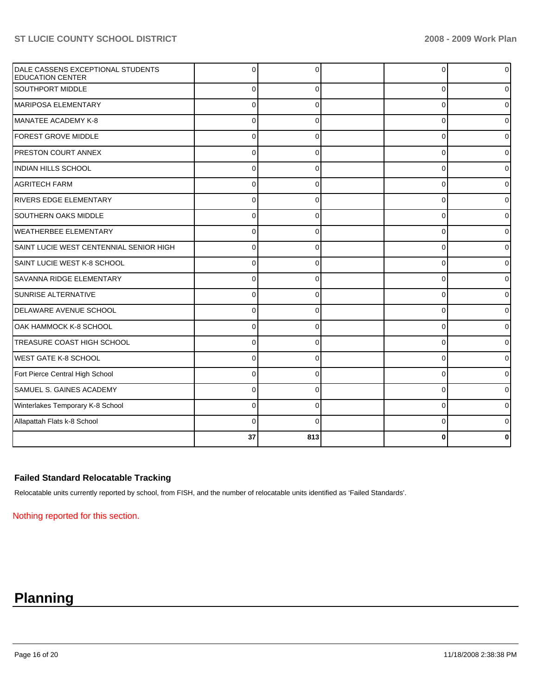| DALE CASSENS EXCEPTIONAL STUDENTS<br><b>EDUCATION CENTER</b> | $\Omega$    |          | 0              | 0 |
|--------------------------------------------------------------|-------------|----------|----------------|---|
| <b>SOUTHPORT MIDDLE</b>                                      | $\Omega$    | $\Omega$ | $\overline{0}$ | 0 |
| MARIPOSA ELEMENTARY                                          | $\Omega$    | $\Omega$ | 0              | 0 |
| MANATEE ACADEMY K-8                                          | $\Omega$    | $\Omega$ | $\Omega$       | U |
| <b>FOREST GROVE MIDDLE</b>                                   | $\Omega$    | $\Omega$ | 0              | 0 |
| <b>PRESTON COURT ANNEX</b>                                   | $\Omega$    |          | $\Omega$       | 0 |
| <b>INDIAN HILLS SCHOOL</b>                                   | $\mathbf 0$ | $\Omega$ | 0              | 0 |
| <b>AGRITECH FARM</b>                                         | $\Omega$    |          | $\Omega$       | 0 |
| <b>RIVERS EDGE ELEMENTARY</b>                                | $\Omega$    | $\Omega$ | $\Omega$       | U |
| <b>SOUTHERN OAKS MIDDLE</b>                                  | $\Omega$    | $\Omega$ | 0              |   |
| WEATHERBEE ELEMENTARY                                        | $\Omega$    | $\Omega$ | $\Omega$       | ი |
| SAINT LUCIE WEST CENTENNIAL SENIOR HIGH                      | $\mathbf 0$ | $\Omega$ | $\Omega$       | 0 |
| SAINT LUCIE WEST K-8 SCHOOL                                  | $\mathbf 0$ | $\Omega$ | 0              | 0 |
| <b>SAVANNA RIDGE ELEMENTARY</b>                              | $\Omega$    | 0        | 0              | 0 |
| SUNRISE ALTERNATIVE                                          | $\Omega$    | $\Omega$ | $\Omega$       | 0 |
| DELAWARE AVENUE SCHOOL                                       | $\Omega$    | $\Omega$ | $\Omega$       | 0 |
| OAK HAMMOCK K-8 SCHOOL                                       | $\Omega$    |          | $\Omega$       | ი |
| TREASURE COAST HIGH SCHOOL                                   | $\mathbf 0$ | $\Omega$ | 0              | 0 |
| IWEST GATE K-8 SCHOOL                                        | $\Omega$    |          | 0              | 0 |
| Fort Pierce Central High School                              | $\Omega$    | $\Omega$ | $\Omega$       | 0 |
| SAMUEL S. GAINES ACADEMY                                     | $\Omega$    | $\Omega$ | $\Omega$       | U |
| Winterlakes Temporary K-8 School                             | $\Omega$    | $\Omega$ | $\Omega$       |   |
| Allapattah Flats k-8 School                                  | $\Omega$    | $\Omega$ | $\Omega$       |   |
|                                                              | 37          | 813      | ŋ              |   |

## **Failed Standard Relocatable Tracking**

Relocatable units currently reported by school, from FISH, and the number of relocatable units identified as 'Failed Standards'.

Nothing reported for this section.

# **Planning**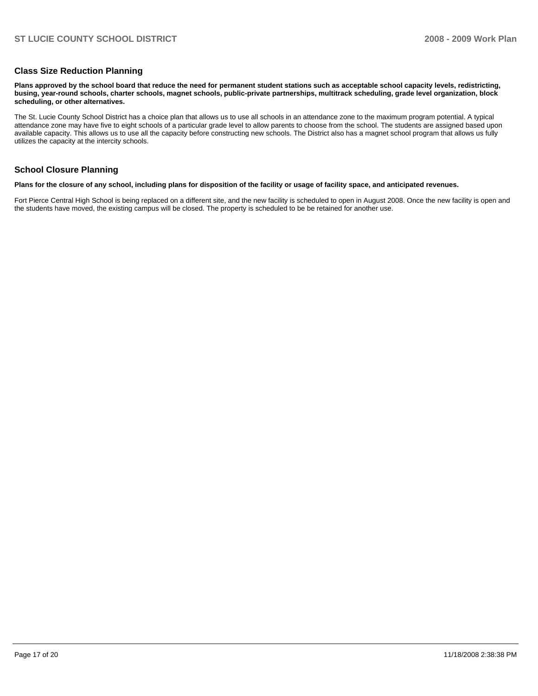### **Class Size Reduction Planning**

**Plans approved by the school board that reduce the need for permanent student stations such as acceptable school capacity levels, redistricting, busing, year-round schools, charter schools, magnet schools, public-private partnerships, multitrack scheduling, grade level organization, block scheduling, or other alternatives.** 

The St. Lucie County School District has a choice plan that allows us to use all schools in an attendance zone to the maximum program potential. A typical attendance zone may have five to eight schools of a particular grade level to allow parents to choose from the school. The students are assigned based upon available capacity. This allows us to use all the capacity before constructing new schools. The District also has a magnet school program that allows us fully utilizes the capacity at the intercity schools.

### **School Closure Planning**

#### **Plans for the closure of any school, including plans for disposition of the facility or usage of facility space, and anticipated revenues.**

Fort Pierce Central High School is being replaced on a different site, and the new facility is scheduled to open in August 2008. Once the new facility is open and the students have moved, the existing campus will be closed. The property is scheduled to be be retained for another use.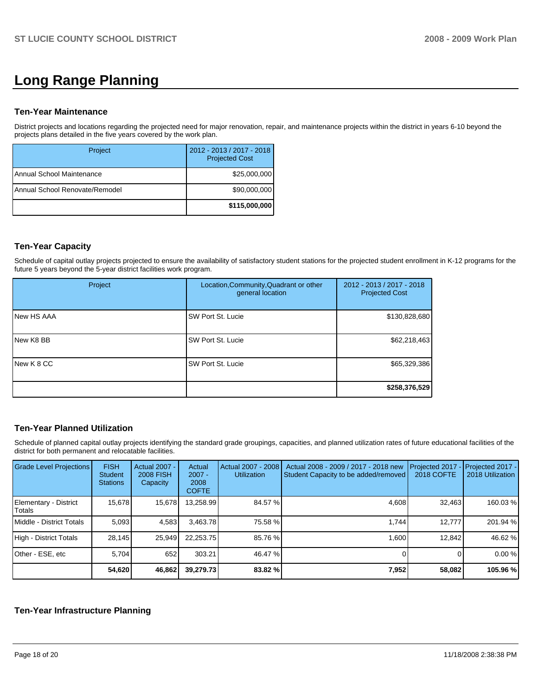# **Long Range Planning**

#### **Ten-Year Maintenance**

District projects and locations regarding the projected need for major renovation, repair, and maintenance projects within the district in years 6-10 beyond the projects plans detailed in the five years covered by the work plan.

| Project                         | 2012 - 2013 / 2017 - 2018<br><b>Projected Cost</b> |
|---------------------------------|----------------------------------------------------|
| I Annual School Maintenance     | \$25,000,000                                       |
| IAnnual School Renovate/Remodel | \$90,000,000                                       |
|                                 | \$115,000,000                                      |

## **Ten-Year Capacity**

Schedule of capital outlay projects projected to ensure the availability of satisfactory student stations for the projected student enrollment in K-12 programs for the future 5 years beyond the 5-year district facilities work program.

| Project           | Location, Community, Quadrant or other<br>general location | 2012 - 2013 / 2017 - 2018<br><b>Projected Cost</b> |
|-------------------|------------------------------------------------------------|----------------------------------------------------|
| <b>New HS AAA</b> | SW Port St. Lucie                                          | \$130,828,680                                      |
| New K8 BB         | SW Port St. Lucie                                          | \$62,218,463                                       |
| INew K 8 CC       | SW Port St. Lucie                                          | \$65,329,386                                       |
|                   |                                                            | \$258,376,529                                      |

## **Ten-Year Planned Utilization**

Schedule of planned capital outlay projects identifying the standard grade groupings, capacities, and planned utilization rates of future educational facilities of the district for both permanent and relocatable facilities.

| Grade Level Projections         | <b>FISH</b><br>Student<br><b>Stations</b> | Actual 2007 -<br><b>2008 FISH</b><br>Capacity | Actual<br>$2007 -$<br>2008<br><b>COFTE</b> | Actual 2007 - 2008<br><b>Utilization</b> | Actual 2008 - 2009 / 2017 - 2018 new<br>Student Capacity to be added/removed | Projected 2017<br><b>2018 COFTE</b> | Projected 2017 -<br>2018 Utilization |
|---------------------------------|-------------------------------------------|-----------------------------------------------|--------------------------------------------|------------------------------------------|------------------------------------------------------------------------------|-------------------------------------|--------------------------------------|
| Elementary - District<br>Totals | 15,678                                    | 15,678                                        | 13,258.99                                  | 84.57 %                                  | 4,608                                                                        | 32.463                              | 160.03%                              |
| Middle - District Totals        | 5.093                                     | 4,583                                         | 3,463.78                                   | 75.58 %                                  | 1.744                                                                        | 12.777                              | 201.94 %                             |
| High - District Totals          | 28.145                                    | 25.949                                        | 22.253.75                                  | 85.76 %                                  | 1.600                                                                        | 12.842                              | 46.62 %                              |
| Other - ESE, etc                | 5.704                                     | 652                                           | 303.21                                     | 46.47 %                                  |                                                                              |                                     | 0.00%                                |
|                                 | 54,620                                    | 46,862                                        | 39,279.73                                  | 83.82 %                                  | 7,952                                                                        | 58,082                              | 105.96 %                             |

### **Ten-Year Infrastructure Planning**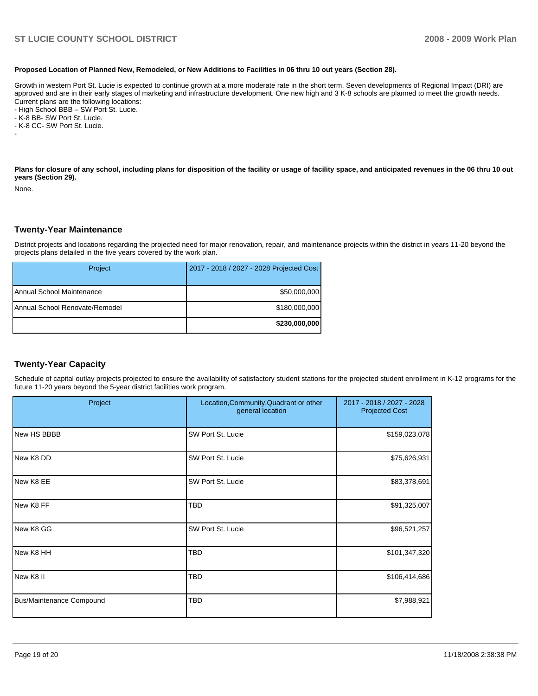#### **Proposed Location of Planned New, Remodeled, or New Additions to Facilities in 06 thru 10 out years (Section 28).**

Growth in western Port St. Lucie is expected to continue growth at a more moderate rate in the short term. Seven developments of Regional Impact (DRI) are approved and are in their early stages of marketing and infrastructure development. One new high and 3 K-8 schools are planned to meet the growth needs. Current plans are the following locations:

- High School BBB – SW Port St. Lucie.

- K-8 BB- SW Port St. Lucie.

- K-8 CC- SW Port St. Lucie.

Plans for closure of any school, including plans for disposition of the facility or usage of facility space, and anticipated revenues in the 06 thru 10 out **years (Section 29).** 

None.

-

#### **Twenty-Year Maintenance**

District projects and locations regarding the projected need for major renovation, repair, and maintenance projects within the district in years 11-20 beyond the projects plans detailed in the five years covered by the work plan.

| Project                        | 2017 - 2018 / 2027 - 2028 Projected Cost |
|--------------------------------|------------------------------------------|
| Annual School Maintenance      | \$50,000,000                             |
| Annual School Renovate/Remodel | \$180,000,000                            |
|                                | \$230,000,000                            |

### **Twenty-Year Capacity**

Schedule of capital outlay projects projected to ensure the availability of satisfactory student stations for the projected student enrollment in K-12 programs for the future 11-20 years beyond the 5-year district facilities work program.

| Project                         | Location, Community, Quadrant or other<br>general location | 2017 - 2018 / 2027 - 2028<br><b>Projected Cost</b> |  |
|---------------------------------|------------------------------------------------------------|----------------------------------------------------|--|
| New HS BBBB                     | SW Port St. Lucie                                          | \$159,023,078                                      |  |
| New K8 DD                       | SW Port St. Lucie                                          | \$75,626,931                                       |  |
| New K8 EE                       | SW Port St. Lucie                                          | \$83,378,691                                       |  |
| New K8 FF                       | TBD                                                        | \$91,325,007                                       |  |
| New K8 GG                       | SW Port St. Lucie                                          | \$96,521,257                                       |  |
| INew K8 HH                      | TBD                                                        | \$101,347,320                                      |  |
| INew K8 II                      | <b>TBD</b>                                                 | \$106,414,686                                      |  |
| <b>Bus/Maintenance Compound</b> | TBD                                                        | \$7,988,921                                        |  |